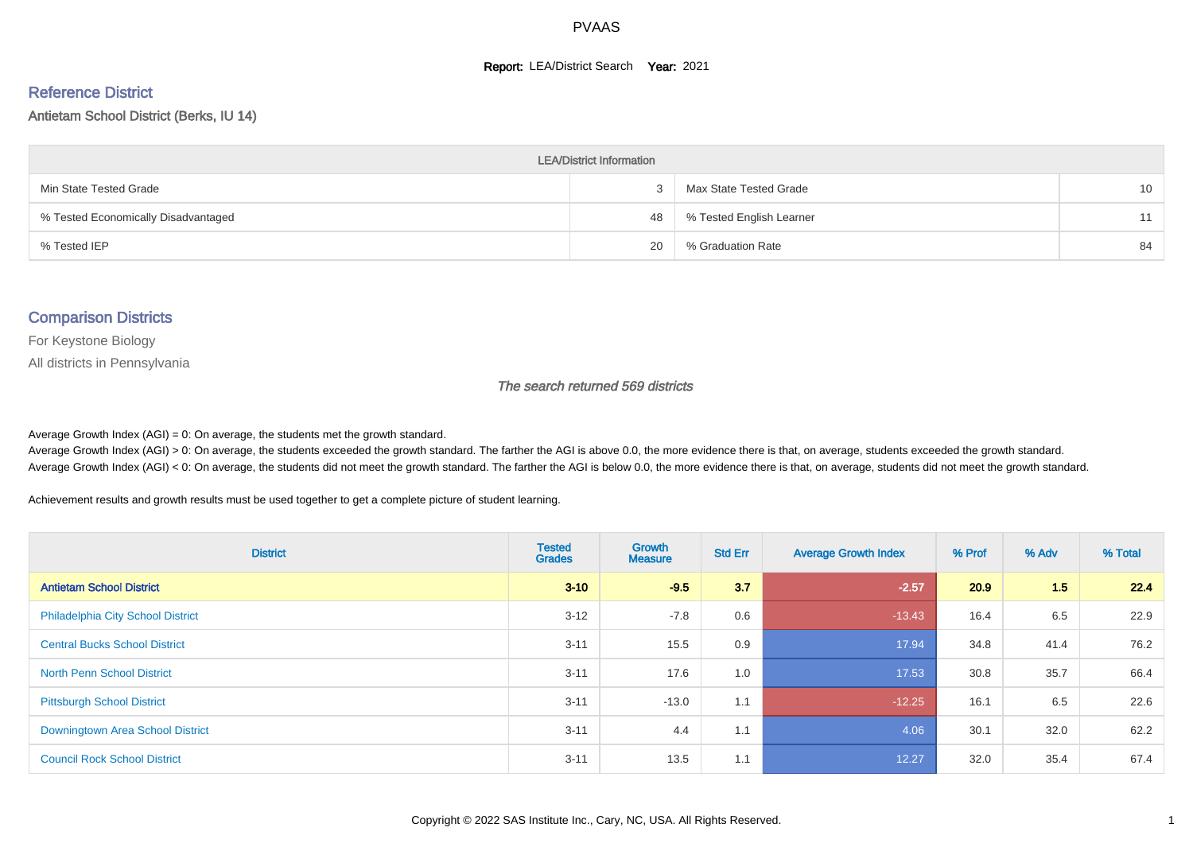#### **Report: LEA/District Search Year: 2021**

#### Reference District

#### Antietam School District (Berks, IU 14)

| <b>LEA/District Information</b>     |    |                          |    |  |  |  |  |  |  |  |
|-------------------------------------|----|--------------------------|----|--|--|--|--|--|--|--|
| Min State Tested Grade              |    | Max State Tested Grade   | 10 |  |  |  |  |  |  |  |
| % Tested Economically Disadvantaged | 48 | % Tested English Learner | 11 |  |  |  |  |  |  |  |
| % Tested IEP                        | 20 | % Graduation Rate        | 84 |  |  |  |  |  |  |  |

#### Comparison Districts

For Keystone Biology

All districts in Pennsylvania

The search returned 569 districts

Average Growth Index  $(AGI) = 0$ : On average, the students met the growth standard.

Average Growth Index (AGI) > 0: On average, the students exceeded the growth standard. The farther the AGI is above 0.0, the more evidence there is that, on average, students exceeded the growth standard. Average Growth Index (AGI) < 0: On average, the students did not meet the growth standard. The farther the AGI is below 0.0, the more evidence there is that, on average, students did not meet the growth standard.

Achievement results and growth results must be used together to get a complete picture of student learning.

| <b>District</b>                          | <b>Tested</b><br><b>Grades</b> | Growth<br><b>Measure</b> | <b>Std Err</b> | <b>Average Growth Index</b> | % Prof | % Adv | % Total |
|------------------------------------------|--------------------------------|--------------------------|----------------|-----------------------------|--------|-------|---------|
| <b>Antietam School District</b>          | $3 - 10$                       | $-9.5$                   | 3.7            | $-2.57$                     | 20.9   | 1.5   | 22.4    |
| <b>Philadelphia City School District</b> | $3 - 12$                       | $-7.8$                   | 0.6            | $-13.43$                    | 16.4   | 6.5   | 22.9    |
| <b>Central Bucks School District</b>     | $3 - 11$                       | 15.5                     | 0.9            | 17.94                       | 34.8   | 41.4  | 76.2    |
| <b>North Penn School District</b>        | $3 - 11$                       | 17.6                     | 1.0            | 17.53                       | 30.8   | 35.7  | 66.4    |
| <b>Pittsburgh School District</b>        | $3 - 11$                       | $-13.0$                  | 1.1            | $-12.25$                    | 16.1   | 6.5   | 22.6    |
| <b>Downingtown Area School District</b>  | $3 - 11$                       | 4.4                      | 1.1            | 4.06                        | 30.1   | 32.0  | 62.2    |
| <b>Council Rock School District</b>      | $3 - 11$                       | 13.5                     | 1.1            | 12.27                       | 32.0   | 35.4  | 67.4    |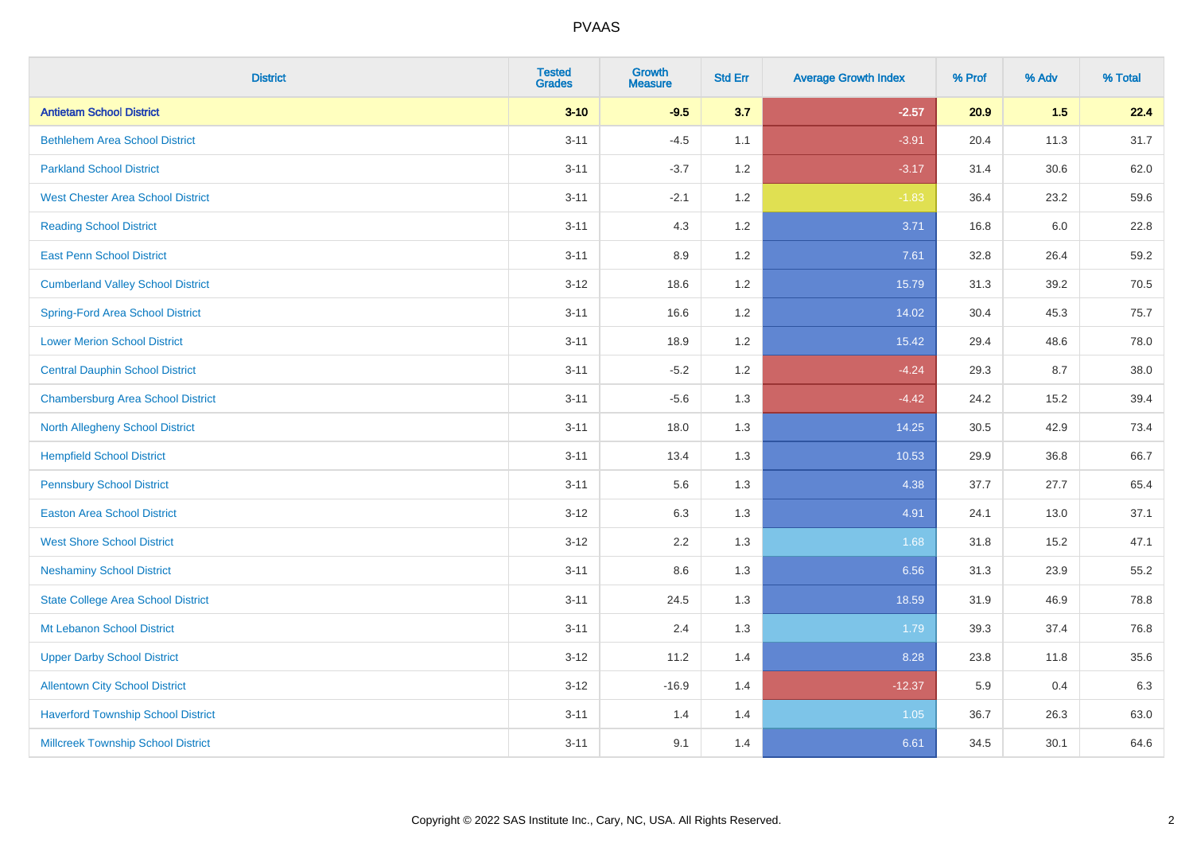| <b>District</b>                           | <b>Tested</b><br><b>Grades</b> | <b>Growth</b><br><b>Measure</b> | <b>Std Err</b> | <b>Average Growth Index</b> | % Prof | % Adv | % Total |
|-------------------------------------------|--------------------------------|---------------------------------|----------------|-----------------------------|--------|-------|---------|
| <b>Antietam School District</b>           | $3 - 10$                       | $-9.5$                          | 3.7            | $-2.57$                     | 20.9   | 1.5   | 22.4    |
| <b>Bethlehem Area School District</b>     | $3 - 11$                       | $-4.5$                          | 1.1            | $-3.91$                     | 20.4   | 11.3  | 31.7    |
| <b>Parkland School District</b>           | $3 - 11$                       | $-3.7$                          | 1.2            | $-3.17$                     | 31.4   | 30.6  | 62.0    |
| <b>West Chester Area School District</b>  | $3 - 11$                       | $-2.1$                          | 1.2            | $-1.83$                     | 36.4   | 23.2  | 59.6    |
| <b>Reading School District</b>            | $3 - 11$                       | 4.3                             | 1.2            | 3.71                        | 16.8   | 6.0   | 22.8    |
| <b>East Penn School District</b>          | $3 - 11$                       | 8.9                             | 1.2            | 7.61                        | 32.8   | 26.4  | 59.2    |
| <b>Cumberland Valley School District</b>  | $3 - 12$                       | 18.6                            | 1.2            | 15.79                       | 31.3   | 39.2  | 70.5    |
| <b>Spring-Ford Area School District</b>   | $3 - 11$                       | 16.6                            | 1.2            | 14.02                       | 30.4   | 45.3  | 75.7    |
| <b>Lower Merion School District</b>       | $3 - 11$                       | 18.9                            | 1.2            | 15.42                       | 29.4   | 48.6  | 78.0    |
| <b>Central Dauphin School District</b>    | $3 - 11$                       | $-5.2$                          | 1.2            | $-4.24$                     | 29.3   | 8.7   | 38.0    |
| <b>Chambersburg Area School District</b>  | $3 - 11$                       | $-5.6$                          | 1.3            | $-4.42$                     | 24.2   | 15.2  | 39.4    |
| <b>North Allegheny School District</b>    | $3 - 11$                       | 18.0                            | 1.3            | 14.25                       | 30.5   | 42.9  | 73.4    |
| <b>Hempfield School District</b>          | $3 - 11$                       | 13.4                            | 1.3            | 10.53                       | 29.9   | 36.8  | 66.7    |
| <b>Pennsbury School District</b>          | $3 - 11$                       | 5.6                             | 1.3            | 4.38                        | 37.7   | 27.7  | 65.4    |
| <b>Easton Area School District</b>        | $3 - 12$                       | 6.3                             | 1.3            | 4.91                        | 24.1   | 13.0  | 37.1    |
| <b>West Shore School District</b>         | $3 - 12$                       | 2.2                             | 1.3            | 1.68                        | 31.8   | 15.2  | 47.1    |
| <b>Neshaminy School District</b>          | $3 - 11$                       | 8.6                             | 1.3            | 6.56                        | 31.3   | 23.9  | 55.2    |
| <b>State College Area School District</b> | $3 - 11$                       | 24.5                            | 1.3            | 18.59                       | 31.9   | 46.9  | 78.8    |
| Mt Lebanon School District                | $3 - 11$                       | 2.4                             | 1.3            | 1.79                        | 39.3   | 37.4  | 76.8    |
| <b>Upper Darby School District</b>        | $3 - 12$                       | 11.2                            | 1.4            | 8.28                        | 23.8   | 11.8  | 35.6    |
| <b>Allentown City School District</b>     | $3 - 12$                       | $-16.9$                         | 1.4            | $-12.37$                    | 5.9    | 0.4   | 6.3     |
| <b>Haverford Township School District</b> | $3 - 11$                       | 1.4                             | 1.4            | 1.05                        | 36.7   | 26.3  | 63.0    |
| <b>Millcreek Township School District</b> | $3 - 11$                       | 9.1                             | 1.4            | 6.61                        | 34.5   | 30.1  | 64.6    |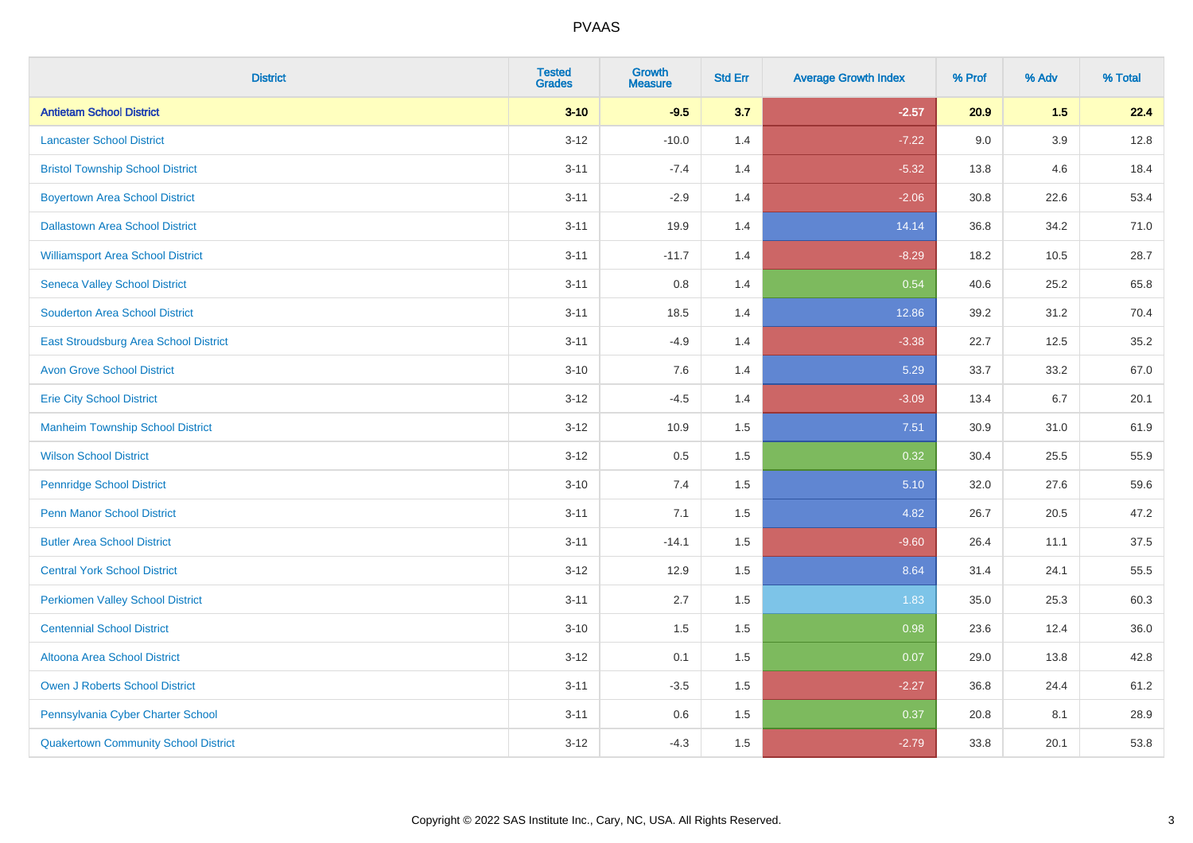| <b>District</b>                             | <b>Tested</b><br><b>Grades</b> | <b>Growth</b><br><b>Measure</b> | <b>Std Err</b> | <b>Average Growth Index</b> | % Prof | % Adv   | % Total |
|---------------------------------------------|--------------------------------|---------------------------------|----------------|-----------------------------|--------|---------|---------|
| <b>Antietam School District</b>             | $3 - 10$                       | $-9.5$                          | 3.7            | $-2.57$                     | 20.9   | 1.5     | 22.4    |
| <b>Lancaster School District</b>            | $3 - 12$                       | $-10.0$                         | 1.4            | $-7.22$                     | 9.0    | $3.9\,$ | 12.8    |
| <b>Bristol Township School District</b>     | $3 - 11$                       | $-7.4$                          | 1.4            | $-5.32$                     | 13.8   | 4.6     | 18.4    |
| <b>Boyertown Area School District</b>       | $3 - 11$                       | $-2.9$                          | 1.4            | $-2.06$                     | 30.8   | 22.6    | 53.4    |
| <b>Dallastown Area School District</b>      | $3 - 11$                       | 19.9                            | 1.4            | 14.14                       | 36.8   | 34.2    | 71.0    |
| <b>Williamsport Area School District</b>    | $3 - 11$                       | $-11.7$                         | 1.4            | $-8.29$                     | 18.2   | 10.5    | 28.7    |
| <b>Seneca Valley School District</b>        | $3 - 11$                       | 0.8                             | 1.4            | 0.54                        | 40.6   | 25.2    | 65.8    |
| <b>Souderton Area School District</b>       | $3 - 11$                       | 18.5                            | 1.4            | 12.86                       | 39.2   | 31.2    | 70.4    |
| East Stroudsburg Area School District       | $3 - 11$                       | $-4.9$                          | 1.4            | $-3.38$                     | 22.7   | 12.5    | 35.2    |
| <b>Avon Grove School District</b>           | $3 - 10$                       | 7.6                             | 1.4            | 5.29                        | 33.7   | 33.2    | 67.0    |
| <b>Erie City School District</b>            | $3 - 12$                       | $-4.5$                          | 1.4            | $-3.09$                     | 13.4   | 6.7     | 20.1    |
| <b>Manheim Township School District</b>     | $3 - 12$                       | 10.9                            | 1.5            | 7.51                        | 30.9   | 31.0    | 61.9    |
| <b>Wilson School District</b>               | $3 - 12$                       | 0.5                             | 1.5            | 0.32                        | 30.4   | 25.5    | 55.9    |
| <b>Pennridge School District</b>            | $3 - 10$                       | 7.4                             | 1.5            | 5.10                        | 32.0   | 27.6    | 59.6    |
| <b>Penn Manor School District</b>           | $3 - 11$                       | 7.1                             | 1.5            | 4.82                        | 26.7   | 20.5    | 47.2    |
| <b>Butler Area School District</b>          | $3 - 11$                       | $-14.1$                         | 1.5            | $-9.60$                     | 26.4   | 11.1    | 37.5    |
| <b>Central York School District</b>         | $3 - 12$                       | 12.9                            | 1.5            | 8.64                        | 31.4   | 24.1    | 55.5    |
| <b>Perkiomen Valley School District</b>     | $3 - 11$                       | 2.7                             | 1.5            | 1.83                        | 35.0   | 25.3    | 60.3    |
| <b>Centennial School District</b>           | $3 - 10$                       | 1.5                             | 1.5            | 0.98                        | 23.6   | 12.4    | 36.0    |
| Altoona Area School District                | $3 - 12$                       | 0.1                             | 1.5            | 0.07                        | 29.0   | 13.8    | 42.8    |
| Owen J Roberts School District              | $3 - 11$                       | $-3.5$                          | 1.5            | $-2.27$                     | 36.8   | 24.4    | 61.2    |
| Pennsylvania Cyber Charter School           | $3 - 11$                       | 0.6                             | 1.5            | 0.37                        | 20.8   | 8.1     | 28.9    |
| <b>Quakertown Community School District</b> | $3 - 12$                       | $-4.3$                          | 1.5            | $-2.79$                     | 33.8   | 20.1    | 53.8    |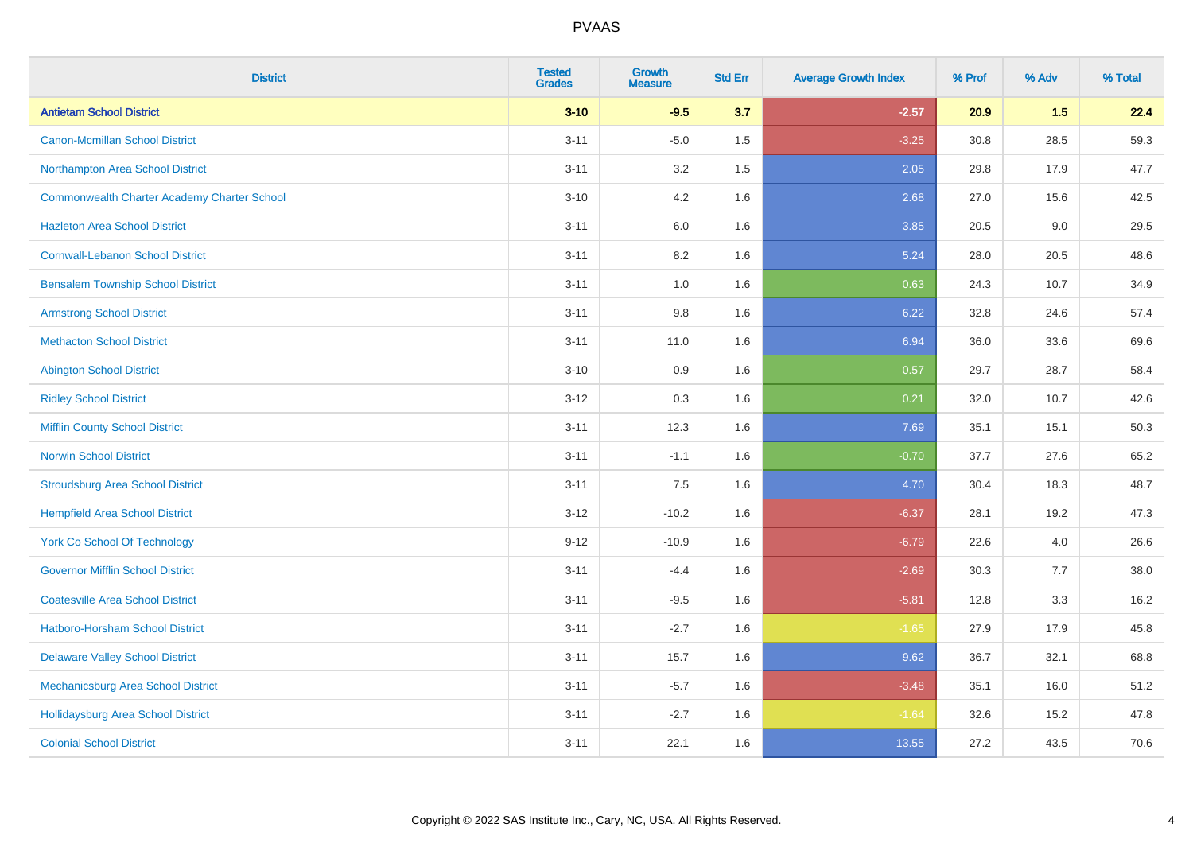| <b>District</b>                                    | <b>Tested</b><br><b>Grades</b> | <b>Growth</b><br><b>Measure</b> | <b>Std Err</b> | <b>Average Growth Index</b> | % Prof | % Adv | % Total |
|----------------------------------------------------|--------------------------------|---------------------------------|----------------|-----------------------------|--------|-------|---------|
| <b>Antietam School District</b>                    | $3 - 10$                       | $-9.5$                          | 3.7            | $-2.57$                     | 20.9   | 1.5   | 22.4    |
| <b>Canon-Mcmillan School District</b>              | $3 - 11$                       | $-5.0$                          | 1.5            | $-3.25$                     | 30.8   | 28.5  | 59.3    |
| Northampton Area School District                   | $3 - 11$                       | 3.2                             | 1.5            | 2.05                        | 29.8   | 17.9  | 47.7    |
| <b>Commonwealth Charter Academy Charter School</b> | $3 - 10$                       | 4.2                             | 1.6            | 2.68                        | 27.0   | 15.6  | 42.5    |
| <b>Hazleton Area School District</b>               | $3 - 11$                       | 6.0                             | 1.6            | 3.85                        | 20.5   | 9.0   | 29.5    |
| <b>Cornwall-Lebanon School District</b>            | $3 - 11$                       | 8.2                             | 1.6            | 5.24                        | 28.0   | 20.5  | 48.6    |
| <b>Bensalem Township School District</b>           | $3 - 11$                       | 1.0                             | 1.6            | 0.63                        | 24.3   | 10.7  | 34.9    |
| <b>Armstrong School District</b>                   | $3 - 11$                       | $9.8\,$                         | 1.6            | 6.22                        | 32.8   | 24.6  | 57.4    |
| <b>Methacton School District</b>                   | $3 - 11$                       | 11.0                            | 1.6            | 6.94                        | 36.0   | 33.6  | 69.6    |
| <b>Abington School District</b>                    | $3 - 10$                       | 0.9                             | 1.6            | 0.57                        | 29.7   | 28.7  | 58.4    |
| <b>Ridley School District</b>                      | $3 - 12$                       | 0.3                             | 1.6            | 0.21                        | 32.0   | 10.7  | 42.6    |
| <b>Mifflin County School District</b>              | $3 - 11$                       | 12.3                            | 1.6            | 7.69                        | 35.1   | 15.1  | 50.3    |
| <b>Norwin School District</b>                      | $3 - 11$                       | $-1.1$                          | 1.6            | $-0.70$                     | 37.7   | 27.6  | 65.2    |
| <b>Stroudsburg Area School District</b>            | $3 - 11$                       | 7.5                             | 1.6            | 4.70                        | 30.4   | 18.3  | 48.7    |
| <b>Hempfield Area School District</b>              | $3 - 12$                       | $-10.2$                         | 1.6            | $-6.37$                     | 28.1   | 19.2  | 47.3    |
| <b>York Co School Of Technology</b>                | $9 - 12$                       | $-10.9$                         | 1.6            | $-6.79$                     | 22.6   | 4.0   | 26.6    |
| <b>Governor Mifflin School District</b>            | $3 - 11$                       | $-4.4$                          | 1.6            | $-2.69$                     | 30.3   | 7.7   | 38.0    |
| <b>Coatesville Area School District</b>            | $3 - 11$                       | $-9.5$                          | 1.6            | $-5.81$                     | 12.8   | 3.3   | 16.2    |
| <b>Hatboro-Horsham School District</b>             | $3 - 11$                       | $-2.7$                          | 1.6            | $-1.65$                     | 27.9   | 17.9  | 45.8    |
| <b>Delaware Valley School District</b>             | $3 - 11$                       | 15.7                            | 1.6            | 9.62                        | 36.7   | 32.1  | 68.8    |
| Mechanicsburg Area School District                 | $3 - 11$                       | $-5.7$                          | 1.6            | $-3.48$                     | 35.1   | 16.0  | 51.2    |
| <b>Hollidaysburg Area School District</b>          | $3 - 11$                       | $-2.7$                          | 1.6            | $-1.64$                     | 32.6   | 15.2  | 47.8    |
| <b>Colonial School District</b>                    | $3 - 11$                       | 22.1                            | 1.6            | 13.55                       | 27.2   | 43.5  | 70.6    |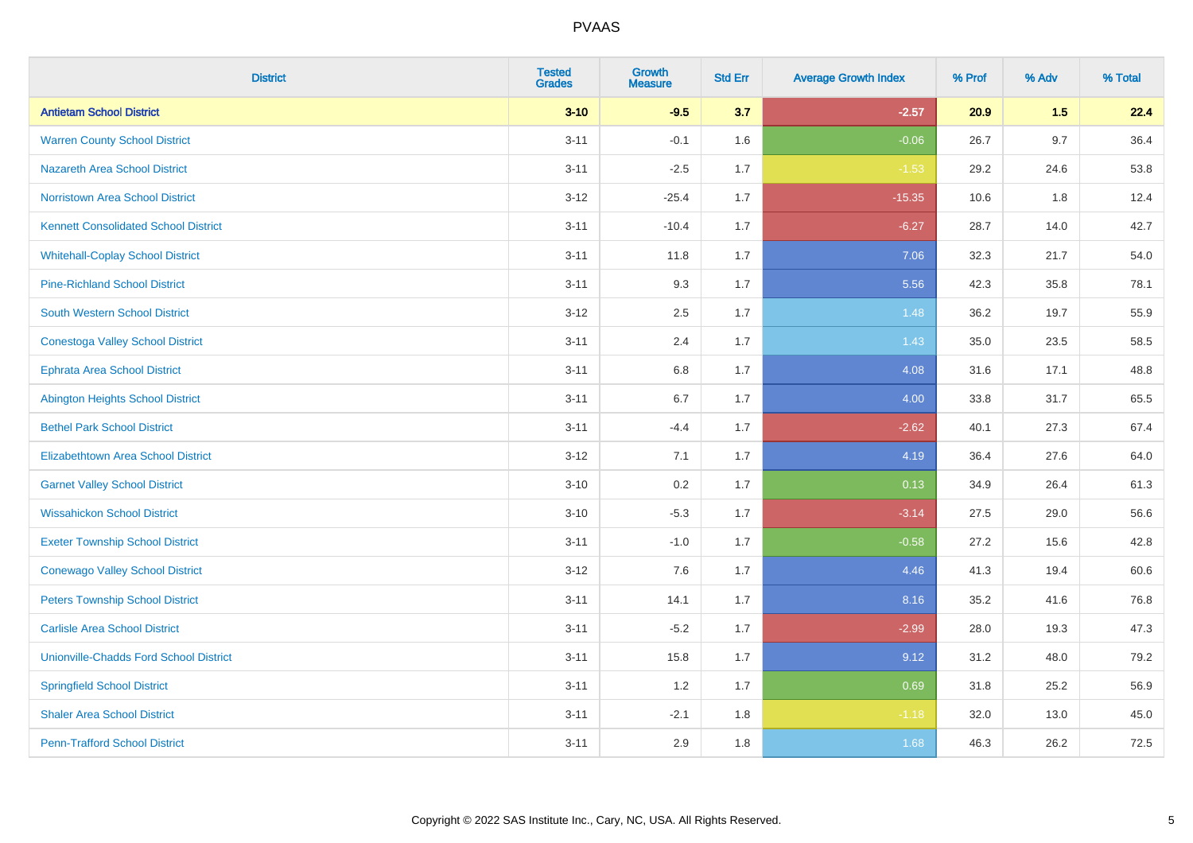| <b>District</b>                               | <b>Tested</b><br><b>Grades</b> | <b>Growth</b><br><b>Measure</b> | <b>Std Err</b> | <b>Average Growth Index</b> | % Prof | % Adv   | % Total |
|-----------------------------------------------|--------------------------------|---------------------------------|----------------|-----------------------------|--------|---------|---------|
| <b>Antietam School District</b>               | $3 - 10$                       | $-9.5$                          | 3.7            | $-2.57$                     | 20.9   | 1.5     | 22.4    |
| <b>Warren County School District</b>          | $3 - 11$                       | $-0.1$                          | 1.6            | $-0.06$                     | 26.7   | 9.7     | 36.4    |
| <b>Nazareth Area School District</b>          | $3 - 11$                       | $-2.5$                          | 1.7            | $-1.53$                     | 29.2   | 24.6    | 53.8    |
| Norristown Area School District               | $3 - 12$                       | $-25.4$                         | 1.7            | $-15.35$                    | 10.6   | $1.8\,$ | 12.4    |
| <b>Kennett Consolidated School District</b>   | $3 - 11$                       | $-10.4$                         | 1.7            | $-6.27$                     | 28.7   | 14.0    | 42.7    |
| <b>Whitehall-Coplay School District</b>       | $3 - 11$                       | 11.8                            | 1.7            | 7.06                        | 32.3   | 21.7    | 54.0    |
| <b>Pine-Richland School District</b>          | $3 - 11$                       | 9.3                             | 1.7            | 5.56                        | 42.3   | 35.8    | 78.1    |
| <b>South Western School District</b>          | $3 - 12$                       | 2.5                             | 1.7            | 1.48                        | 36.2   | 19.7    | 55.9    |
| <b>Conestoga Valley School District</b>       | $3 - 11$                       | 2.4                             | 1.7            | 1.43                        | 35.0   | 23.5    | 58.5    |
| <b>Ephrata Area School District</b>           | $3 - 11$                       | $6.8\,$                         | 1.7            | 4.08                        | 31.6   | 17.1    | 48.8    |
| <b>Abington Heights School District</b>       | $3 - 11$                       | 6.7                             | 1.7            | 4.00                        | 33.8   | 31.7    | 65.5    |
| <b>Bethel Park School District</b>            | $3 - 11$                       | $-4.4$                          | 1.7            | $-2.62$                     | 40.1   | 27.3    | 67.4    |
| Elizabethtown Area School District            | $3 - 12$                       | 7.1                             | 1.7            | 4.19                        | 36.4   | 27.6    | 64.0    |
| <b>Garnet Valley School District</b>          | $3 - 10$                       | 0.2                             | 1.7            | 0.13                        | 34.9   | 26.4    | 61.3    |
| <b>Wissahickon School District</b>            | $3 - 10$                       | $-5.3$                          | 1.7            | $-3.14$                     | 27.5   | 29.0    | 56.6    |
| <b>Exeter Township School District</b>        | $3 - 11$                       | $-1.0$                          | 1.7            | $-0.58$                     | 27.2   | 15.6    | 42.8    |
| <b>Conewago Valley School District</b>        | $3 - 12$                       | 7.6                             | 1.7            | 4.46                        | 41.3   | 19.4    | 60.6    |
| <b>Peters Township School District</b>        | $3 - 11$                       | 14.1                            | 1.7            | 8.16                        | 35.2   | 41.6    | 76.8    |
| <b>Carlisle Area School District</b>          | $3 - 11$                       | $-5.2$                          | 1.7            | $-2.99$                     | 28.0   | 19.3    | 47.3    |
| <b>Unionville-Chadds Ford School District</b> | $3 - 11$                       | 15.8                            | 1.7            | 9.12                        | 31.2   | 48.0    | 79.2    |
| <b>Springfield School District</b>            | $3 - 11$                       | 1.2                             | 1.7            | 0.69                        | 31.8   | 25.2    | 56.9    |
| <b>Shaler Area School District</b>            | $3 - 11$                       | $-2.1$                          | 1.8            | $-1.18$                     | 32.0   | 13.0    | 45.0    |
| <b>Penn-Trafford School District</b>          | $3 - 11$                       | 2.9                             | 1.8            | 1.68                        | 46.3   | 26.2    | 72.5    |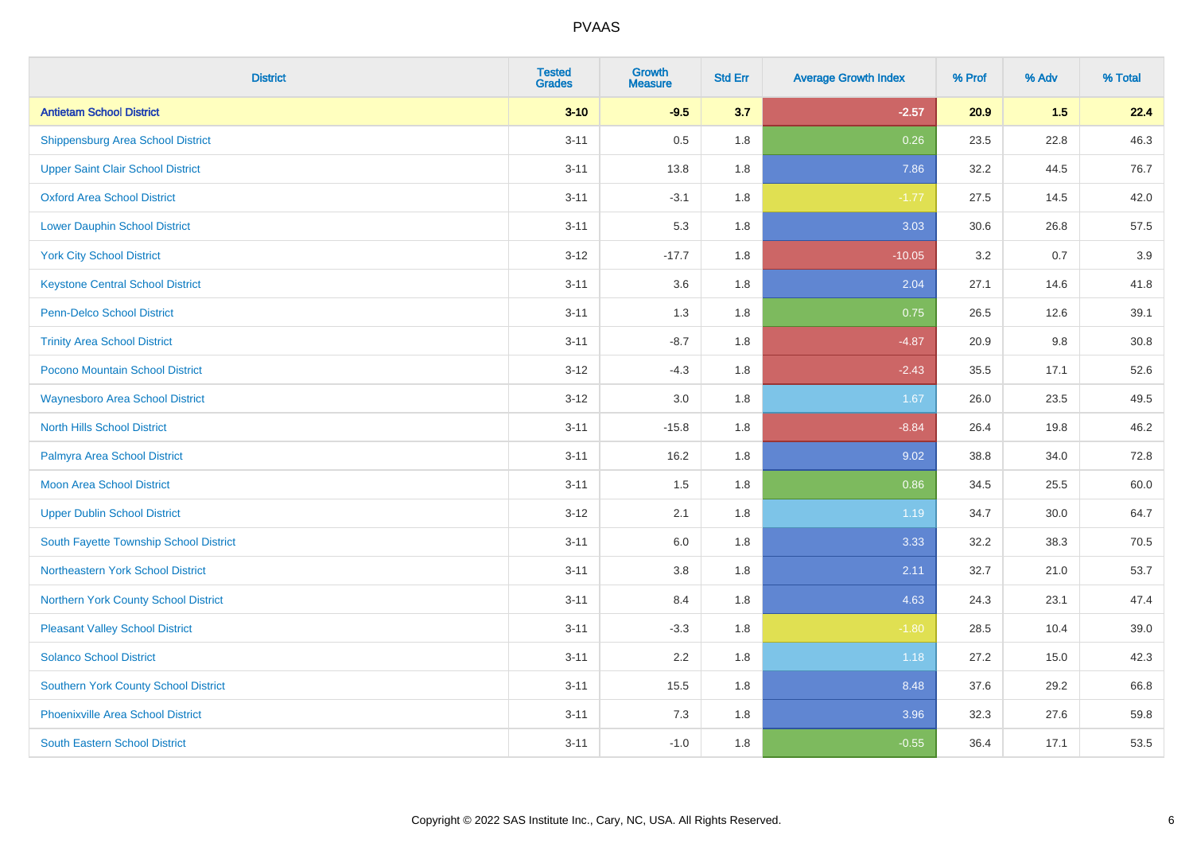| <b>District</b>                             | <b>Tested</b><br><b>Grades</b> | <b>Growth</b><br><b>Measure</b> | <b>Std Err</b> | <b>Average Growth Index</b> | % Prof | % Adv | % Total |
|---------------------------------------------|--------------------------------|---------------------------------|----------------|-----------------------------|--------|-------|---------|
| <b>Antietam School District</b>             | $3 - 10$                       | $-9.5$                          | 3.7            | $-2.57$                     | 20.9   | 1.5   | 22.4    |
| <b>Shippensburg Area School District</b>    | $3 - 11$                       | 0.5                             | 1.8            | 0.26                        | 23.5   | 22.8  | 46.3    |
| <b>Upper Saint Clair School District</b>    | $3 - 11$                       | 13.8                            | 1.8            | 7.86                        | 32.2   | 44.5  | 76.7    |
| <b>Oxford Area School District</b>          | $3 - 11$                       | $-3.1$                          | 1.8            | $-1.77$                     | 27.5   | 14.5  | 42.0    |
| <b>Lower Dauphin School District</b>        | $3 - 11$                       | 5.3                             | 1.8            | 3.03                        | 30.6   | 26.8  | 57.5    |
| <b>York City School District</b>            | $3 - 12$                       | $-17.7$                         | 1.8            | $-10.05$                    | 3.2    | 0.7   | 3.9     |
| <b>Keystone Central School District</b>     | $3 - 11$                       | 3.6                             | 1.8            | 2.04                        | 27.1   | 14.6  | 41.8    |
| <b>Penn-Delco School District</b>           | $3 - 11$                       | 1.3                             | 1.8            | 0.75                        | 26.5   | 12.6  | 39.1    |
| <b>Trinity Area School District</b>         | $3 - 11$                       | $-8.7$                          | 1.8            | $-4.87$                     | 20.9   | 9.8   | 30.8    |
| <b>Pocono Mountain School District</b>      | $3 - 12$                       | $-4.3$                          | 1.8            | $-2.43$                     | 35.5   | 17.1  | 52.6    |
| <b>Waynesboro Area School District</b>      | $3-12$                         | 3.0                             | 1.8            | 1.67                        | 26.0   | 23.5  | 49.5    |
| <b>North Hills School District</b>          | $3 - 11$                       | $-15.8$                         | 1.8            | $-8.84$                     | 26.4   | 19.8  | 46.2    |
| Palmyra Area School District                | $3 - 11$                       | 16.2                            | 1.8            | 9.02                        | 38.8   | 34.0  | 72.8    |
| Moon Area School District                   | $3 - 11$                       | 1.5                             | 1.8            | 0.86                        | 34.5   | 25.5  | 60.0    |
| <b>Upper Dublin School District</b>         | $3 - 12$                       | 2.1                             | 1.8            | 1.19                        | 34.7   | 30.0  | 64.7    |
| South Fayette Township School District      | $3 - 11$                       | $6.0\,$                         | 1.8            | 3.33                        | 32.2   | 38.3  | 70.5    |
| Northeastern York School District           | $3 - 11$                       | 3.8                             | 1.8            | 2.11                        | 32.7   | 21.0  | 53.7    |
| Northern York County School District        | $3 - 11$                       | 8.4                             | 1.8            | 4.63                        | 24.3   | 23.1  | 47.4    |
| <b>Pleasant Valley School District</b>      | $3 - 11$                       | $-3.3$                          | 1.8            | $-1.80$                     | 28.5   | 10.4  | 39.0    |
| <b>Solanco School District</b>              | $3 - 11$                       | 2.2                             | 1.8            | 1.18                        | 27.2   | 15.0  | 42.3    |
| <b>Southern York County School District</b> | $3 - 11$                       | 15.5                            | 1.8            | 8.48                        | 37.6   | 29.2  | 66.8    |
| <b>Phoenixville Area School District</b>    | $3 - 11$                       | 7.3                             | 1.8            | 3.96                        | 32.3   | 27.6  | 59.8    |
| <b>South Eastern School District</b>        | $3 - 11$                       | $-1.0$                          | 1.8            | $-0.55$                     | 36.4   | 17.1  | 53.5    |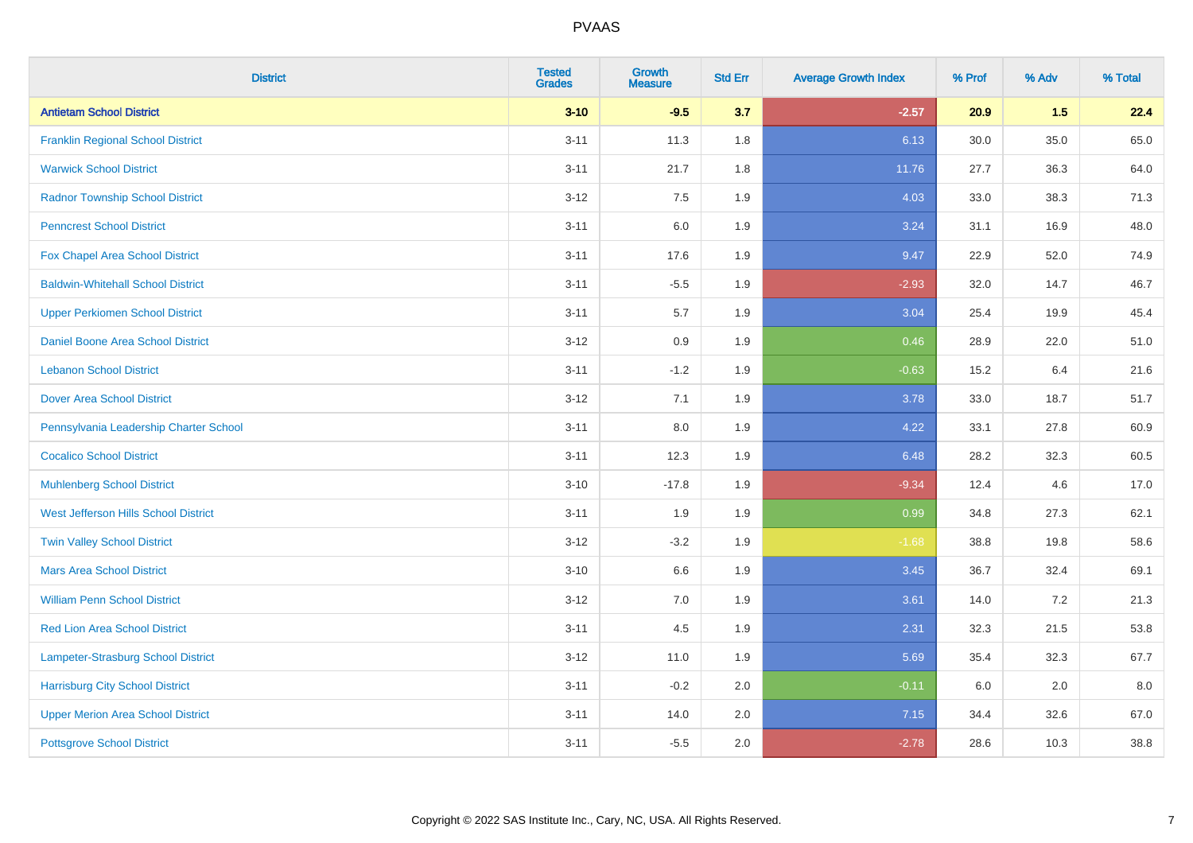| <b>District</b>                          | <b>Tested</b><br><b>Grades</b> | <b>Growth</b><br><b>Measure</b> | <b>Std Err</b> | <b>Average Growth Index</b> | % Prof | % Adv | % Total |
|------------------------------------------|--------------------------------|---------------------------------|----------------|-----------------------------|--------|-------|---------|
| <b>Antietam School District</b>          | $3 - 10$                       | $-9.5$                          | 3.7            | $-2.57$                     | 20.9   | 1.5   | 22.4    |
| <b>Franklin Regional School District</b> | $3 - 11$                       | 11.3                            | 1.8            | 6.13                        | 30.0   | 35.0  | 65.0    |
| <b>Warwick School District</b>           | $3 - 11$                       | 21.7                            | 1.8            | 11.76                       | 27.7   | 36.3  | 64.0    |
| <b>Radnor Township School District</b>   | $3 - 12$                       | 7.5                             | 1.9            | 4.03                        | 33.0   | 38.3  | 71.3    |
| <b>Penncrest School District</b>         | $3 - 11$                       | 6.0                             | 1.9            | 3.24                        | 31.1   | 16.9  | 48.0    |
| Fox Chapel Area School District          | $3 - 11$                       | 17.6                            | 1.9            | 9.47                        | 22.9   | 52.0  | 74.9    |
| <b>Baldwin-Whitehall School District</b> | $3 - 11$                       | $-5.5$                          | 1.9            | $-2.93$                     | 32.0   | 14.7  | 46.7    |
| <b>Upper Perkiomen School District</b>   | $3 - 11$                       | 5.7                             | 1.9            | 3.04                        | 25.4   | 19.9  | 45.4    |
| <b>Daniel Boone Area School District</b> | $3 - 12$                       | 0.9                             | 1.9            | 0.46                        | 28.9   | 22.0  | 51.0    |
| <b>Lebanon School District</b>           | $3 - 11$                       | $-1.2$                          | 1.9            | $-0.63$                     | 15.2   | 6.4   | 21.6    |
| <b>Dover Area School District</b>        | $3-12$                         | 7.1                             | 1.9            | 3.78                        | 33.0   | 18.7  | 51.7    |
| Pennsylvania Leadership Charter School   | $3 - 11$                       | 8.0                             | 1.9            | 4.22                        | 33.1   | 27.8  | 60.9    |
| <b>Cocalico School District</b>          | $3 - 11$                       | 12.3                            | 1.9            | 6.48                        | 28.2   | 32.3  | 60.5    |
| <b>Muhlenberg School District</b>        | $3 - 10$                       | $-17.8$                         | 1.9            | $-9.34$                     | 12.4   | 4.6   | 17.0    |
| West Jefferson Hills School District     | $3 - 11$                       | 1.9                             | 1.9            | 0.99                        | 34.8   | 27.3  | 62.1    |
| <b>Twin Valley School District</b>       | $3 - 12$                       | $-3.2$                          | 1.9            | $-1.68$                     | 38.8   | 19.8  | 58.6    |
| <b>Mars Area School District</b>         | $3 - 10$                       | 6.6                             | 1.9            | 3.45                        | 36.7   | 32.4  | 69.1    |
| <b>William Penn School District</b>      | $3 - 12$                       | 7.0                             | 1.9            | 3.61                        | 14.0   | 7.2   | 21.3    |
| <b>Red Lion Area School District</b>     | $3 - 11$                       | 4.5                             | 1.9            | 2.31                        | 32.3   | 21.5  | 53.8    |
| Lampeter-Strasburg School District       | $3 - 12$                       | 11.0                            | 1.9            | 5.69                        | 35.4   | 32.3  | 67.7    |
| <b>Harrisburg City School District</b>   | $3 - 11$                       | $-0.2$                          | 2.0            | $-0.11$                     | 6.0    | 2.0   | 8.0     |
| <b>Upper Merion Area School District</b> | $3 - 11$                       | 14.0                            | 2.0            | 7.15                        | 34.4   | 32.6  | 67.0    |
| <b>Pottsgrove School District</b>        | $3 - 11$                       | $-5.5$                          | 2.0            | $-2.78$                     | 28.6   | 10.3  | 38.8    |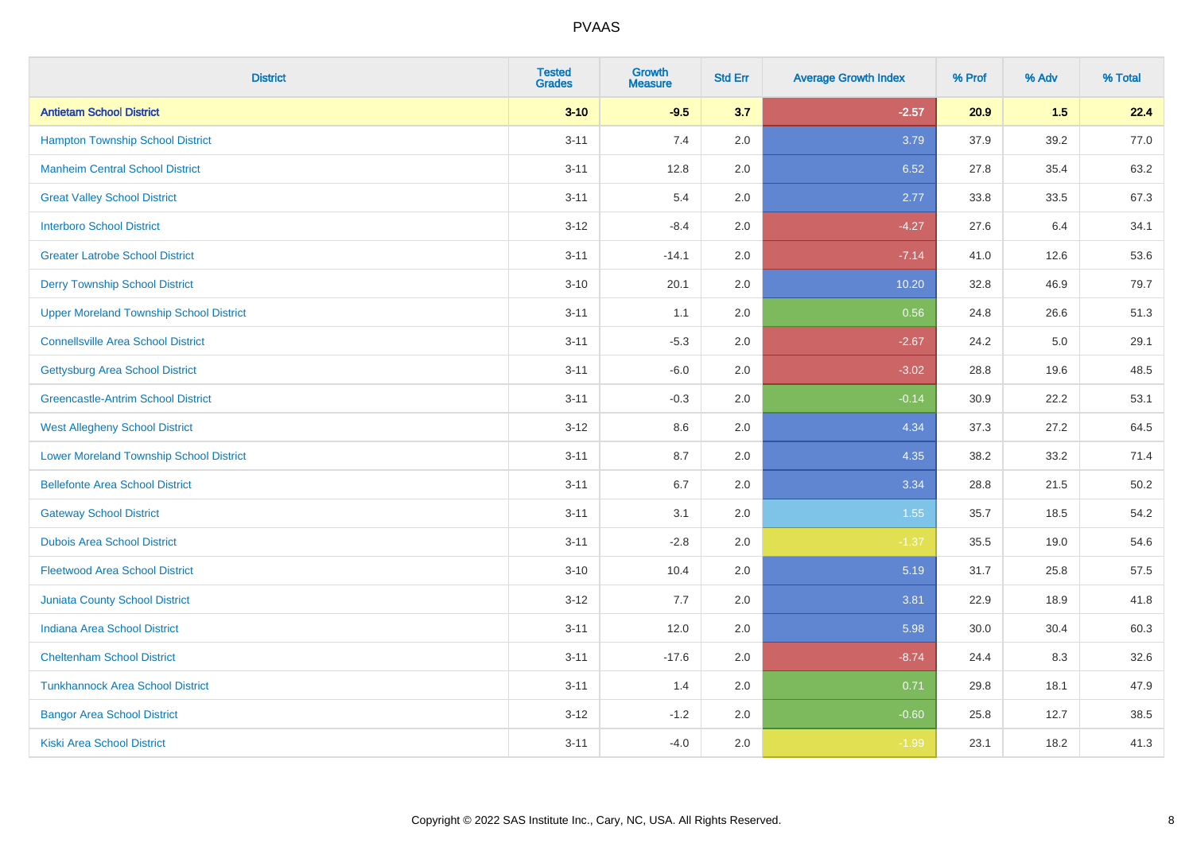| <b>District</b>                                | <b>Tested</b><br><b>Grades</b> | <b>Growth</b><br><b>Measure</b> | <b>Std Err</b> | <b>Average Growth Index</b> | % Prof | % Adv | % Total |
|------------------------------------------------|--------------------------------|---------------------------------|----------------|-----------------------------|--------|-------|---------|
| <b>Antietam School District</b>                | $3 - 10$                       | $-9.5$                          | 3.7            | $-2.57$                     | 20.9   | 1.5   | 22.4    |
| <b>Hampton Township School District</b>        | $3 - 11$                       | 7.4                             | 2.0            | 3.79                        | 37.9   | 39.2  | 77.0    |
| <b>Manheim Central School District</b>         | $3 - 11$                       | 12.8                            | 2.0            | 6.52                        | 27.8   | 35.4  | 63.2    |
| <b>Great Valley School District</b>            | $3 - 11$                       | 5.4                             | 2.0            | 2.77                        | 33.8   | 33.5  | 67.3    |
| <b>Interboro School District</b>               | $3 - 12$                       | $-8.4$                          | 2.0            | $-4.27$                     | 27.6   | 6.4   | 34.1    |
| <b>Greater Latrobe School District</b>         | $3 - 11$                       | $-14.1$                         | 2.0            | $-7.14$                     | 41.0   | 12.6  | 53.6    |
| <b>Derry Township School District</b>          | $3 - 10$                       | 20.1                            | 2.0            | 10.20                       | 32.8   | 46.9  | 79.7    |
| <b>Upper Moreland Township School District</b> | $3 - 11$                       | 1.1                             | 2.0            | 0.56                        | 24.8   | 26.6  | 51.3    |
| <b>Connellsville Area School District</b>      | $3 - 11$                       | $-5.3$                          | 2.0            | $-2.67$                     | 24.2   | 5.0   | 29.1    |
| <b>Gettysburg Area School District</b>         | $3 - 11$                       | $-6.0$                          | 2.0            | $-3.02$                     | 28.8   | 19.6  | 48.5    |
| <b>Greencastle-Antrim School District</b>      | $3 - 11$                       | $-0.3$                          | 2.0            | $-0.14$                     | 30.9   | 22.2  | 53.1    |
| <b>West Allegheny School District</b>          | $3 - 12$                       | 8.6                             | 2.0            | 4.34                        | 37.3   | 27.2  | 64.5    |
| <b>Lower Moreland Township School District</b> | $3 - 11$                       | 8.7                             | 2.0            | 4.35                        | 38.2   | 33.2  | 71.4    |
| <b>Bellefonte Area School District</b>         | $3 - 11$                       | 6.7                             | 2.0            | 3.34                        | 28.8   | 21.5  | 50.2    |
| <b>Gateway School District</b>                 | $3 - 11$                       | 3.1                             | 2.0            | 1.55                        | 35.7   | 18.5  | 54.2    |
| <b>Dubois Area School District</b>             | $3 - 11$                       | $-2.8$                          | 2.0            | $-1.37$                     | 35.5   | 19.0  | 54.6    |
| <b>Fleetwood Area School District</b>          | $3 - 10$                       | 10.4                            | 2.0            | 5.19                        | 31.7   | 25.8  | 57.5    |
| <b>Juniata County School District</b>          | $3 - 12$                       | 7.7                             | 2.0            | 3.81                        | 22.9   | 18.9  | 41.8    |
| <b>Indiana Area School District</b>            | $3 - 11$                       | 12.0                            | 2.0            | 5.98                        | 30.0   | 30.4  | 60.3    |
| <b>Cheltenham School District</b>              | $3 - 11$                       | $-17.6$                         | 2.0            | $-8.74$                     | 24.4   | 8.3   | 32.6    |
| <b>Tunkhannock Area School District</b>        | $3 - 11$                       | 1.4                             | 2.0            | 0.71                        | 29.8   | 18.1  | 47.9    |
| <b>Bangor Area School District</b>             | $3-12$                         | $-1.2$                          | 2.0            | $-0.60$                     | 25.8   | 12.7  | 38.5    |
| <b>Kiski Area School District</b>              | $3 - 11$                       | $-4.0$                          | 2.0            | $-1.99$                     | 23.1   | 18.2  | 41.3    |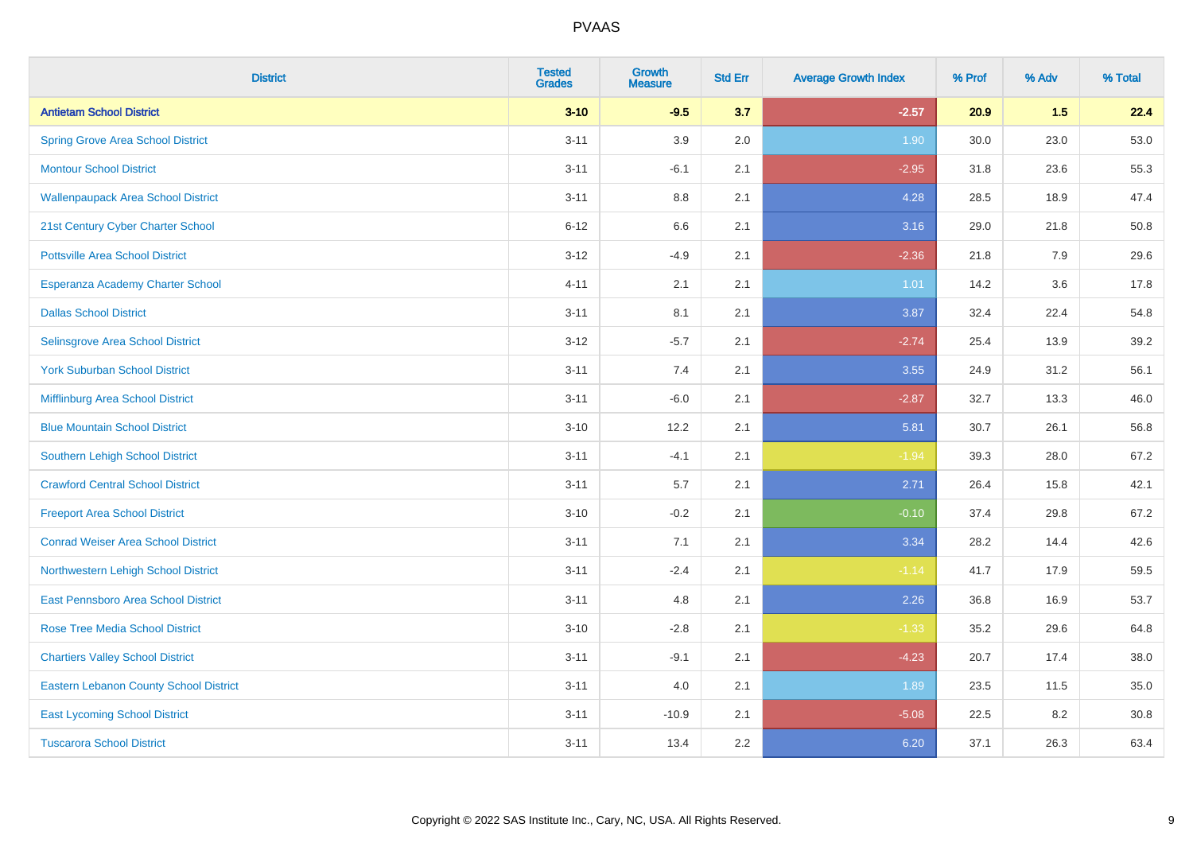| <b>District</b>                               | <b>Tested</b><br><b>Grades</b> | <b>Growth</b><br><b>Measure</b> | <b>Std Err</b> | <b>Average Growth Index</b> | % Prof | % Adv | % Total |
|-----------------------------------------------|--------------------------------|---------------------------------|----------------|-----------------------------|--------|-------|---------|
| <b>Antietam School District</b>               | $3 - 10$                       | $-9.5$                          | 3.7            | $-2.57$                     | 20.9   | 1.5   | 22.4    |
| <b>Spring Grove Area School District</b>      | $3 - 11$                       | 3.9                             | 2.0            | 1.90                        | 30.0   | 23.0  | 53.0    |
| <b>Montour School District</b>                | $3 - 11$                       | $-6.1$                          | 2.1            | $-2.95$                     | 31.8   | 23.6  | 55.3    |
| <b>Wallenpaupack Area School District</b>     | $3 - 11$                       | $8.8\,$                         | 2.1            | 4.28                        | 28.5   | 18.9  | 47.4    |
| 21st Century Cyber Charter School             | $6 - 12$                       | 6.6                             | 2.1            | 3.16                        | 29.0   | 21.8  | 50.8    |
| <b>Pottsville Area School District</b>        | $3-12$                         | $-4.9$                          | 2.1            | $-2.36$                     | 21.8   | 7.9   | 29.6    |
| Esperanza Academy Charter School              | $4 - 11$                       | 2.1                             | 2.1            | $1.01$                      | 14.2   | 3.6   | 17.8    |
| <b>Dallas School District</b>                 | $3 - 11$                       | 8.1                             | 2.1            | 3.87                        | 32.4   | 22.4  | 54.8    |
| Selinsgrove Area School District              | $3 - 12$                       | $-5.7$                          | 2.1            | $-2.74$                     | 25.4   | 13.9  | 39.2    |
| <b>York Suburban School District</b>          | $3 - 11$                       | 7.4                             | 2.1            | 3.55                        | 24.9   | 31.2  | 56.1    |
| Mifflinburg Area School District              | $3 - 11$                       | $-6.0$                          | 2.1            | $-2.87$                     | 32.7   | 13.3  | 46.0    |
| <b>Blue Mountain School District</b>          | $3 - 10$                       | 12.2                            | 2.1            | 5.81                        | 30.7   | 26.1  | 56.8    |
| Southern Lehigh School District               | $3 - 11$                       | $-4.1$                          | 2.1            | $-1.94$                     | 39.3   | 28.0  | 67.2    |
| <b>Crawford Central School District</b>       | $3 - 11$                       | 5.7                             | 2.1            | 2.71                        | 26.4   | 15.8  | 42.1    |
| <b>Freeport Area School District</b>          | $3 - 10$                       | $-0.2$                          | 2.1            | $-0.10$                     | 37.4   | 29.8  | 67.2    |
| <b>Conrad Weiser Area School District</b>     | $3 - 11$                       | 7.1                             | 2.1            | 3.34                        | 28.2   | 14.4  | 42.6    |
| Northwestern Lehigh School District           | $3 - 11$                       | $-2.4$                          | 2.1            | $-1.14$                     | 41.7   | 17.9  | 59.5    |
| <b>East Pennsboro Area School District</b>    | $3 - 11$                       | 4.8                             | 2.1            | 2.26                        | 36.8   | 16.9  | 53.7    |
| <b>Rose Tree Media School District</b>        | $3 - 10$                       | $-2.8$                          | 2.1            | $-1.33$                     | 35.2   | 29.6  | 64.8    |
| <b>Chartiers Valley School District</b>       | $3 - 11$                       | $-9.1$                          | 2.1            | $-4.23$                     | 20.7   | 17.4  | 38.0    |
| <b>Eastern Lebanon County School District</b> | $3 - 11$                       | 4.0                             | 2.1            | 1.89                        | 23.5   | 11.5  | 35.0    |
| <b>East Lycoming School District</b>          | $3 - 11$                       | $-10.9$                         | 2.1            | $-5.08$                     | 22.5   | 8.2   | 30.8    |
| <b>Tuscarora School District</b>              | $3 - 11$                       | 13.4                            | 2.2            | 6.20                        | 37.1   | 26.3  | 63.4    |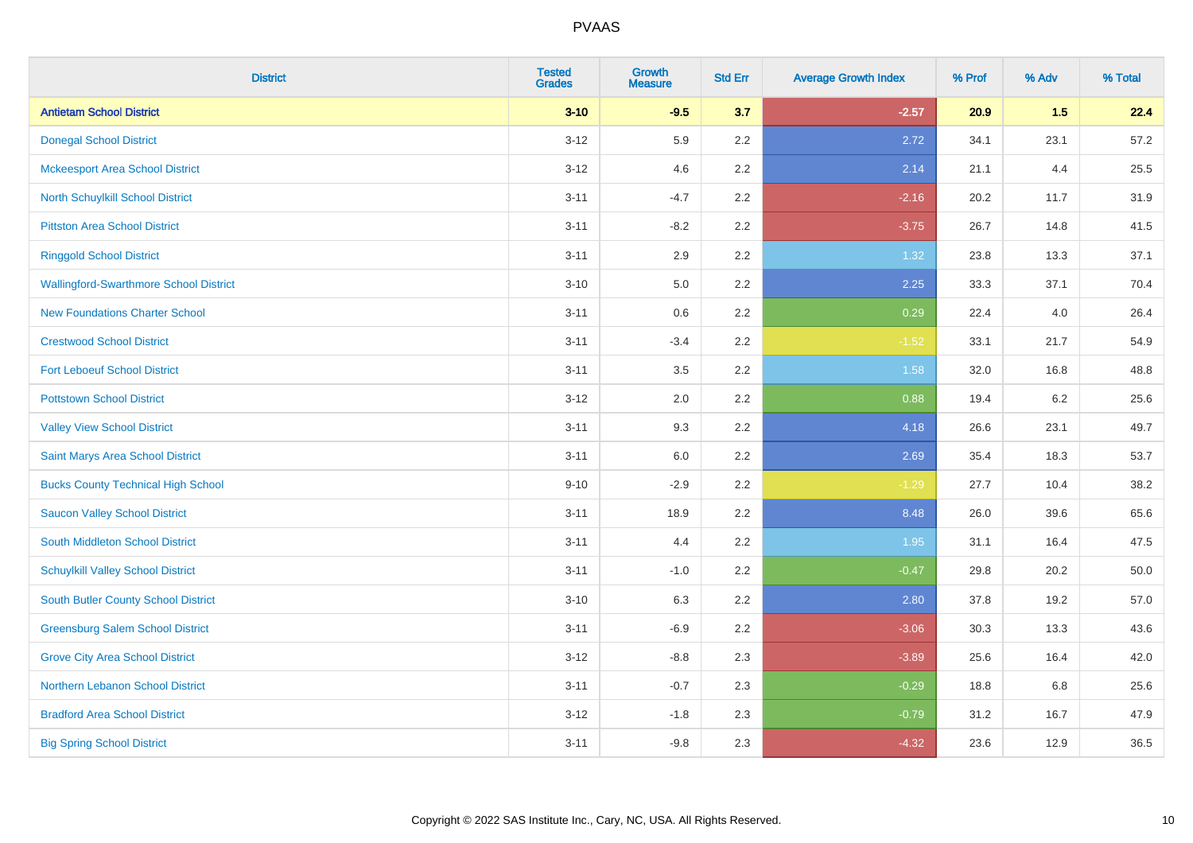| <b>District</b>                               | <b>Tested</b><br><b>Grades</b> | <b>Growth</b><br><b>Measure</b> | <b>Std Err</b> | <b>Average Growth Index</b> | % Prof | % Adv | % Total |
|-----------------------------------------------|--------------------------------|---------------------------------|----------------|-----------------------------|--------|-------|---------|
| <b>Antietam School District</b>               | $3 - 10$                       | $-9.5$                          | 3.7            | $-2.57$                     | 20.9   | 1.5   | 22.4    |
| <b>Donegal School District</b>                | $3 - 12$                       | 5.9                             | 2.2            | 2.72                        | 34.1   | 23.1  | 57.2    |
| <b>Mckeesport Area School District</b>        | $3 - 12$                       | 4.6                             | 2.2            | 2.14                        | 21.1   | 4.4   | 25.5    |
| North Schuylkill School District              | $3 - 11$                       | $-4.7$                          | 2.2            | $-2.16$                     | 20.2   | 11.7  | 31.9    |
| <b>Pittston Area School District</b>          | $3 - 11$                       | $-8.2$                          | 2.2            | $-3.75$                     | 26.7   | 14.8  | 41.5    |
| <b>Ringgold School District</b>               | $3 - 11$                       | 2.9                             | 2.2            | 1.32                        | 23.8   | 13.3  | 37.1    |
| <b>Wallingford-Swarthmore School District</b> | $3 - 10$                       | 5.0                             | 2.2            | 2.25                        | 33.3   | 37.1  | 70.4    |
| <b>New Foundations Charter School</b>         | $3 - 11$                       | $0.6\,$                         | 2.2            | 0.29                        | 22.4   | 4.0   | 26.4    |
| <b>Crestwood School District</b>              | $3 - 11$                       | $-3.4$                          | 2.2            | $-1.52$                     | 33.1   | 21.7  | 54.9    |
| <b>Fort Leboeuf School District</b>           | $3 - 11$                       | 3.5                             | 2.2            | 1.58                        | 32.0   | 16.8  | 48.8    |
| <b>Pottstown School District</b>              | $3-12$                         | 2.0                             | 2.2            | 0.88                        | 19.4   | 6.2   | 25.6    |
| <b>Valley View School District</b>            | $3 - 11$                       | 9.3                             | 2.2            | 4.18                        | 26.6   | 23.1  | 49.7    |
| Saint Marys Area School District              | $3 - 11$                       | 6.0                             | $2.2\,$        | 2.69                        | 35.4   | 18.3  | 53.7    |
| <b>Bucks County Technical High School</b>     | $9 - 10$                       | $-2.9$                          | 2.2            | $-1.29$                     | 27.7   | 10.4  | 38.2    |
| <b>Saucon Valley School District</b>          | $3 - 11$                       | 18.9                            | 2.2            | 8.48                        | 26.0   | 39.6  | 65.6    |
| South Middleton School District               | $3 - 11$                       | 4.4                             | 2.2            | 1.95                        | 31.1   | 16.4  | 47.5    |
| <b>Schuylkill Valley School District</b>      | $3 - 11$                       | $-1.0$                          | 2.2            | $-0.47$                     | 29.8   | 20.2  | 50.0    |
| <b>South Butler County School District</b>    | $3 - 10$                       | 6.3                             | 2.2            | 2.80                        | 37.8   | 19.2  | 57.0    |
| <b>Greensburg Salem School District</b>       | $3 - 11$                       | $-6.9$                          | 2.2            | $-3.06$                     | 30.3   | 13.3  | 43.6    |
| <b>Grove City Area School District</b>        | $3 - 12$                       | $-8.8$                          | 2.3            | $-3.89$                     | 25.6   | 16.4  | 42.0    |
| <b>Northern Lebanon School District</b>       | $3 - 11$                       | $-0.7$                          | 2.3            | $-0.29$                     | 18.8   | 6.8   | 25.6    |
| <b>Bradford Area School District</b>          | $3-12$                         | $-1.8$                          | 2.3            | $-0.79$                     | 31.2   | 16.7  | 47.9    |
| <b>Big Spring School District</b>             | $3 - 11$                       | $-9.8$                          | 2.3            | $-4.32$                     | 23.6   | 12.9  | 36.5    |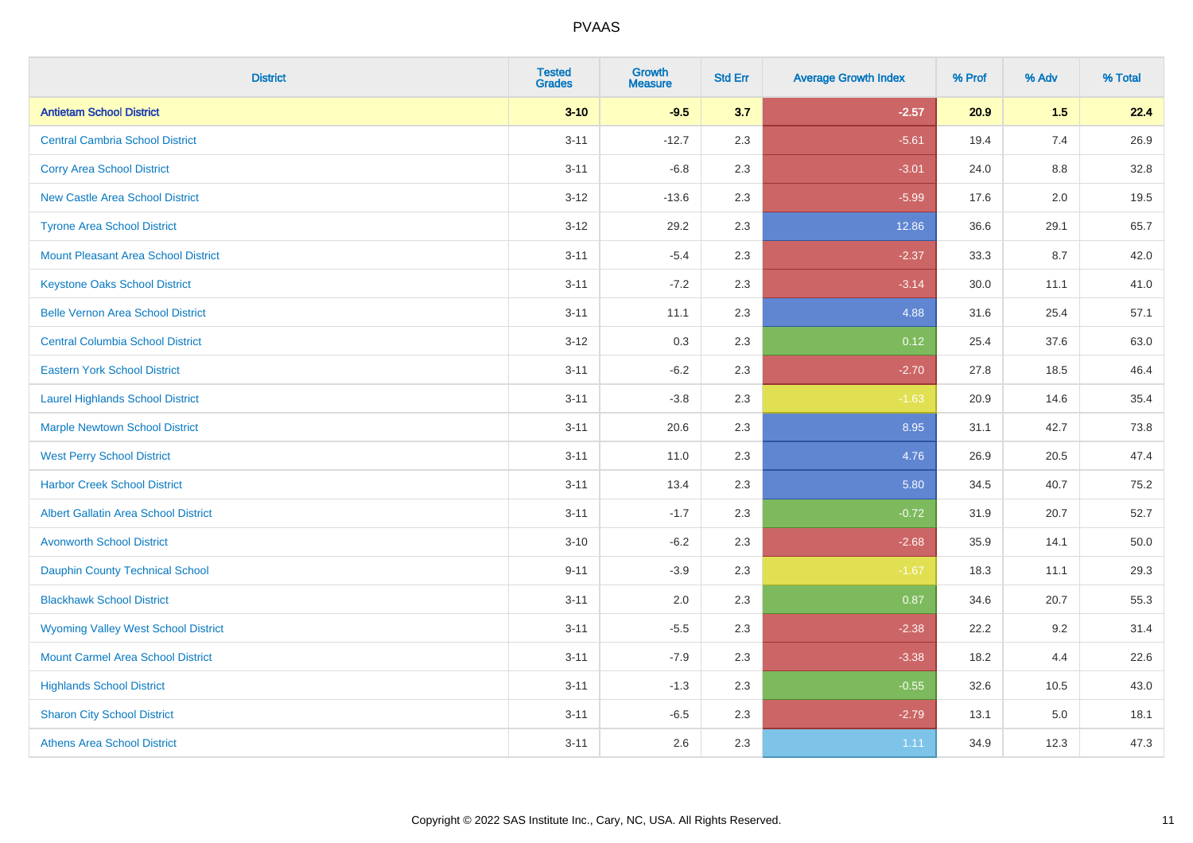| <b>District</b>                             | <b>Tested</b><br><b>Grades</b> | <b>Growth</b><br><b>Measure</b> | <b>Std Err</b> | <b>Average Growth Index</b> | % Prof | % Adv | % Total |
|---------------------------------------------|--------------------------------|---------------------------------|----------------|-----------------------------|--------|-------|---------|
| <b>Antietam School District</b>             | $3 - 10$                       | $-9.5$                          | 3.7            | $-2.57$                     | 20.9   | 1.5   | 22.4    |
| <b>Central Cambria School District</b>      | $3 - 11$                       | $-12.7$                         | 2.3            | $-5.61$                     | 19.4   | 7.4   | 26.9    |
| <b>Corry Area School District</b>           | $3 - 11$                       | $-6.8$                          | 2.3            | $-3.01$                     | 24.0   | 8.8   | 32.8    |
| <b>New Castle Area School District</b>      | $3 - 12$                       | $-13.6$                         | 2.3            | $-5.99$                     | 17.6   | 2.0   | 19.5    |
| <b>Tyrone Area School District</b>          | $3-12$                         | 29.2                            | 2.3            | 12.86                       | 36.6   | 29.1  | 65.7    |
| <b>Mount Pleasant Area School District</b>  | $3 - 11$                       | $-5.4$                          | 2.3            | $-2.37$                     | 33.3   | 8.7   | 42.0    |
| <b>Keystone Oaks School District</b>        | $3 - 11$                       | $-7.2$                          | 2.3            | $-3.14$                     | 30.0   | 11.1  | 41.0    |
| <b>Belle Vernon Area School District</b>    | $3 - 11$                       | 11.1                            | 2.3            | 4.88                        | 31.6   | 25.4  | 57.1    |
| <b>Central Columbia School District</b>     | $3-12$                         | 0.3                             | 2.3            | 0.12                        | 25.4   | 37.6  | 63.0    |
| <b>Eastern York School District</b>         | $3 - 11$                       | $-6.2$                          | 2.3            | $-2.70$                     | 27.8   | 18.5  | 46.4    |
| <b>Laurel Highlands School District</b>     | $3 - 11$                       | $-3.8$                          | 2.3            | $-1.63$                     | 20.9   | 14.6  | 35.4    |
| <b>Marple Newtown School District</b>       | $3 - 11$                       | 20.6                            | 2.3            | 8.95                        | 31.1   | 42.7  | 73.8    |
| <b>West Perry School District</b>           | $3 - 11$                       | 11.0                            | 2.3            | 4.76                        | 26.9   | 20.5  | 47.4    |
| <b>Harbor Creek School District</b>         | $3 - 11$                       | 13.4                            | 2.3            | 5.80                        | 34.5   | 40.7  | 75.2    |
| <b>Albert Gallatin Area School District</b> | $3 - 11$                       | $-1.7$                          | 2.3            | $-0.72$                     | 31.9   | 20.7  | 52.7    |
| <b>Avonworth School District</b>            | $3 - 10$                       | $-6.2$                          | 2.3            | $-2.68$                     | 35.9   | 14.1  | 50.0    |
| Dauphin County Technical School             | $9 - 11$                       | $-3.9$                          | 2.3            | $-1.67$                     | 18.3   | 11.1  | 29.3    |
| <b>Blackhawk School District</b>            | $3 - 11$                       | 2.0                             | 2.3            | 0.87                        | 34.6   | 20.7  | 55.3    |
| <b>Wyoming Valley West School District</b>  | $3 - 11$                       | $-5.5$                          | 2.3            | $-2.38$                     | 22.2   | 9.2   | 31.4    |
| <b>Mount Carmel Area School District</b>    | $3 - 11$                       | $-7.9$                          | 2.3            | $-3.38$                     | 18.2   | 4.4   | 22.6    |
| <b>Highlands School District</b>            | $3 - 11$                       | $-1.3$                          | 2.3            | $-0.55$                     | 32.6   | 10.5  | 43.0    |
| <b>Sharon City School District</b>          | $3 - 11$                       | $-6.5$                          | 2.3            | $-2.79$                     | 13.1   | 5.0   | 18.1    |
| <b>Athens Area School District</b>          | $3 - 11$                       | 2.6                             | 2.3            | 1.11                        | 34.9   | 12.3  | 47.3    |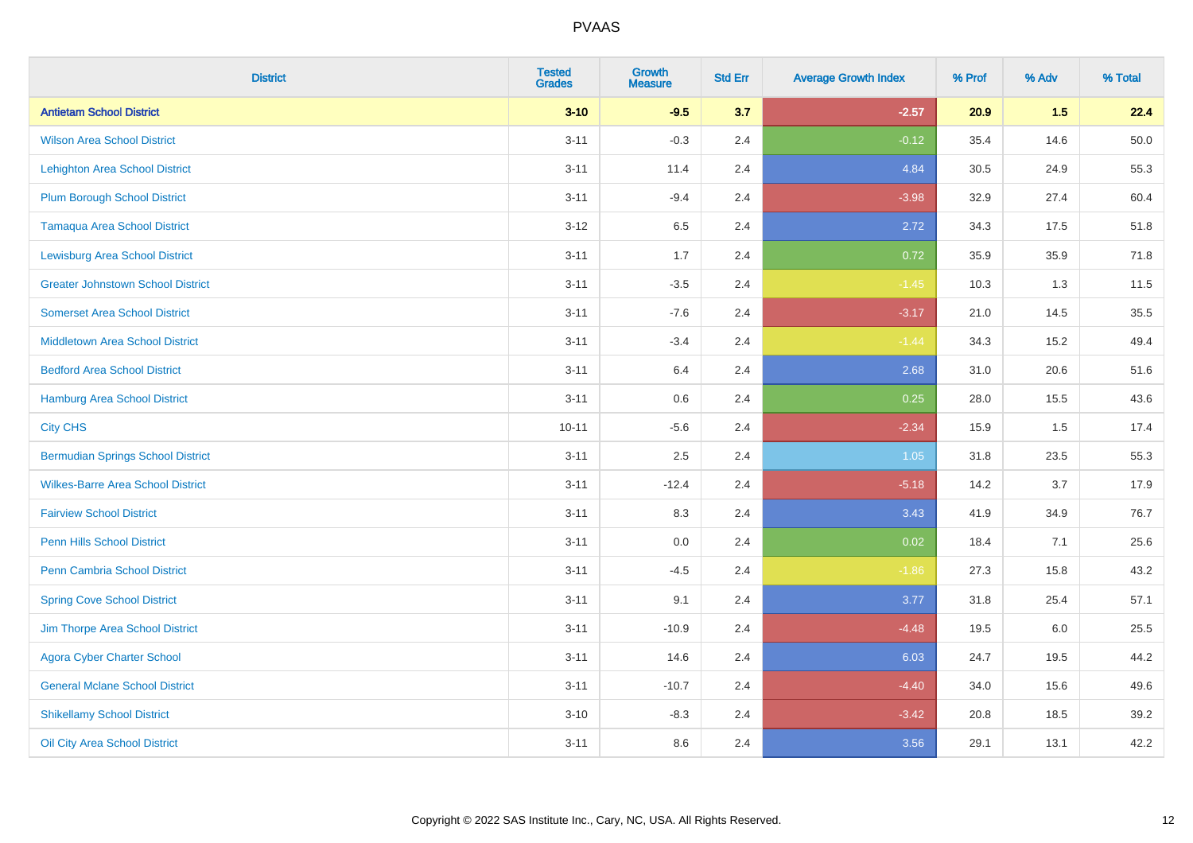| <b>District</b>                          | <b>Tested</b><br><b>Grades</b> | <b>Growth</b><br><b>Measure</b> | <b>Std Err</b> | <b>Average Growth Index</b> | % Prof | % Adv | % Total |
|------------------------------------------|--------------------------------|---------------------------------|----------------|-----------------------------|--------|-------|---------|
| <b>Antietam School District</b>          | $3 - 10$                       | $-9.5$                          | 3.7            | $-2.57$                     | 20.9   | 1.5   | 22.4    |
| <b>Wilson Area School District</b>       | $3 - 11$                       | $-0.3$                          | 2.4            | $-0.12$                     | 35.4   | 14.6  | 50.0    |
| <b>Lehighton Area School District</b>    | $3 - 11$                       | 11.4                            | 2.4            | 4.84                        | 30.5   | 24.9  | 55.3    |
| <b>Plum Borough School District</b>      | $3 - 11$                       | $-9.4$                          | 2.4            | $-3.98$                     | 32.9   | 27.4  | 60.4    |
| <b>Tamaqua Area School District</b>      | $3 - 12$                       | 6.5                             | 2.4            | 2.72                        | 34.3   | 17.5  | 51.8    |
| <b>Lewisburg Area School District</b>    | $3 - 11$                       | 1.7                             | 2.4            | 0.72                        | 35.9   | 35.9  | 71.8    |
| <b>Greater Johnstown School District</b> | $3 - 11$                       | $-3.5$                          | 2.4            | $-1.45$                     | 10.3   | 1.3   | 11.5    |
| <b>Somerset Area School District</b>     | $3 - 11$                       | $-7.6$                          | 2.4            | $-3.17$                     | 21.0   | 14.5  | 35.5    |
| <b>Middletown Area School District</b>   | $3 - 11$                       | $-3.4$                          | 2.4            | $-1.44$                     | 34.3   | 15.2  | 49.4    |
| <b>Bedford Area School District</b>      | $3 - 11$                       | 6.4                             | 2.4            | 2.68                        | 31.0   | 20.6  | 51.6    |
| Hamburg Area School District             | $3 - 11$                       | 0.6                             | 2.4            | 0.25                        | 28.0   | 15.5  | 43.6    |
| <b>City CHS</b>                          | $10 - 11$                      | $-5.6$                          | 2.4            | $-2.34$                     | 15.9   | 1.5   | 17.4    |
| <b>Bermudian Springs School District</b> | $3 - 11$                       | 2.5                             | 2.4            | 1.05                        | 31.8   | 23.5  | 55.3    |
| <b>Wilkes-Barre Area School District</b> | $3 - 11$                       | $-12.4$                         | 2.4            | $-5.18$                     | 14.2   | 3.7   | 17.9    |
| <b>Fairview School District</b>          | $3 - 11$                       | 8.3                             | 2.4            | 3.43                        | 41.9   | 34.9  | 76.7    |
| <b>Penn Hills School District</b>        | $3 - 11$                       | 0.0                             | 2.4            | 0.02                        | 18.4   | 7.1   | 25.6    |
| <b>Penn Cambria School District</b>      | $3 - 11$                       | $-4.5$                          | 2.4            | $-1.86$                     | 27.3   | 15.8  | 43.2    |
| <b>Spring Cove School District</b>       | $3 - 11$                       | 9.1                             | 2.4            | 3.77                        | 31.8   | 25.4  | 57.1    |
| Jim Thorpe Area School District          | $3 - 11$                       | $-10.9$                         | 2.4            | $-4.48$                     | 19.5   | 6.0   | 25.5    |
| <b>Agora Cyber Charter School</b>        | $3 - 11$                       | 14.6                            | 2.4            | 6.03                        | 24.7   | 19.5  | 44.2    |
| <b>General Mclane School District</b>    | $3 - 11$                       | $-10.7$                         | 2.4            | $-4.40$                     | 34.0   | 15.6  | 49.6    |
| <b>Shikellamy School District</b>        | $3 - 10$                       | $-8.3$                          | 2.4            | $-3.42$                     | 20.8   | 18.5  | 39.2    |
| Oil City Area School District            | $3 - 11$                       | 8.6                             | 2.4            | 3.56                        | 29.1   | 13.1  | 42.2    |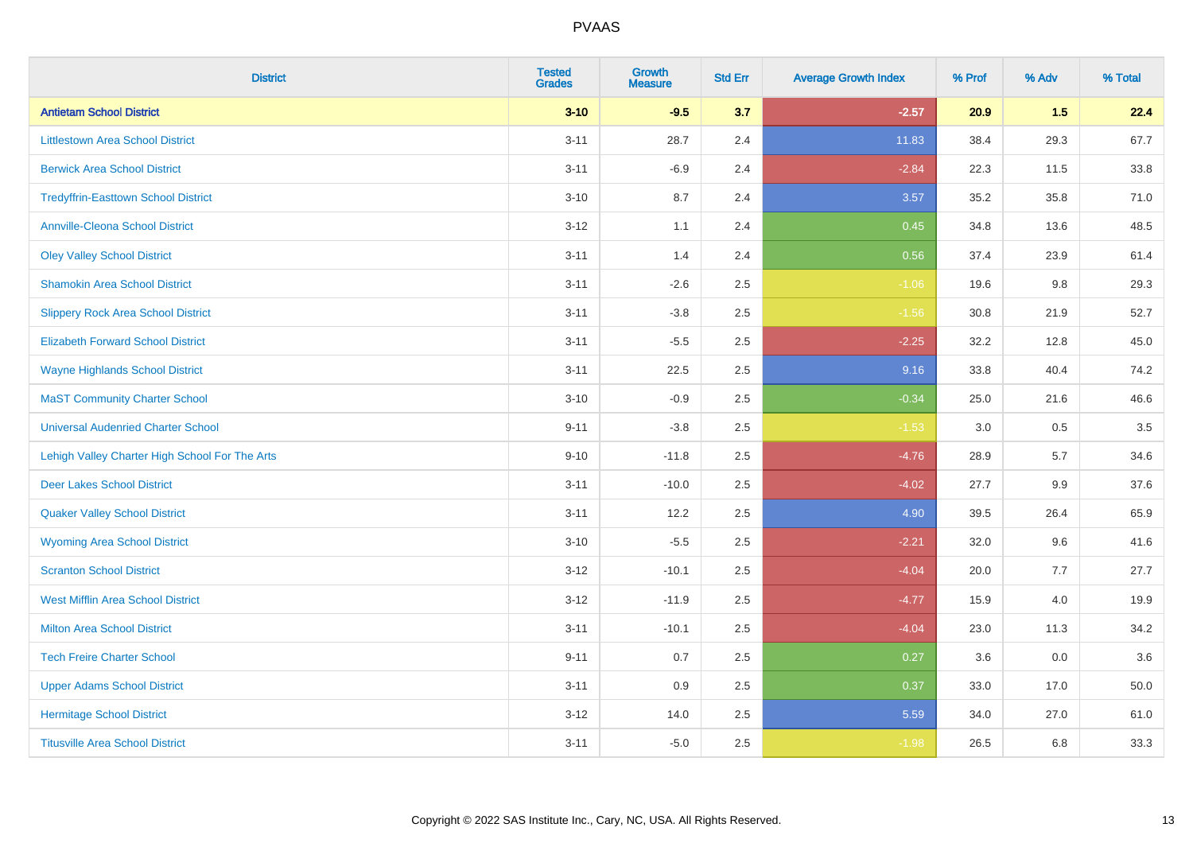| <b>District</b>                                | <b>Tested</b><br><b>Grades</b> | <b>Growth</b><br><b>Measure</b> | <b>Std Err</b> | <b>Average Growth Index</b> | % Prof | % Adv | % Total |
|------------------------------------------------|--------------------------------|---------------------------------|----------------|-----------------------------|--------|-------|---------|
| <b>Antietam School District</b>                | $3 - 10$                       | $-9.5$                          | 3.7            | $-2.57$                     | 20.9   | 1.5   | 22.4    |
| <b>Littlestown Area School District</b>        | $3 - 11$                       | 28.7                            | 2.4            | 11.83                       | 38.4   | 29.3  | 67.7    |
| <b>Berwick Area School District</b>            | $3 - 11$                       | $-6.9$                          | 2.4            | $-2.84$                     | 22.3   | 11.5  | 33.8    |
| <b>Tredyffrin-Easttown School District</b>     | $3 - 10$                       | 8.7                             | 2.4            | 3.57                        | 35.2   | 35.8  | 71.0    |
| <b>Annville-Cleona School District</b>         | $3 - 12$                       | 1.1                             | 2.4            | 0.45                        | 34.8   | 13.6  | 48.5    |
| <b>Oley Valley School District</b>             | $3 - 11$                       | 1.4                             | 2.4            | 0.56                        | 37.4   | 23.9  | 61.4    |
| <b>Shamokin Area School District</b>           | $3 - 11$                       | $-2.6$                          | 2.5            | $-1.06$                     | 19.6   | 9.8   | 29.3    |
| <b>Slippery Rock Area School District</b>      | $3 - 11$                       | $-3.8$                          | 2.5            | $-1.56$                     | 30.8   | 21.9  | 52.7    |
| <b>Elizabeth Forward School District</b>       | $3 - 11$                       | $-5.5$                          | 2.5            | $-2.25$                     | 32.2   | 12.8  | 45.0    |
| <b>Wayne Highlands School District</b>         | $3 - 11$                       | 22.5                            | 2.5            | 9.16                        | 33.8   | 40.4  | 74.2    |
| <b>MaST Community Charter School</b>           | $3 - 10$                       | $-0.9$                          | 2.5            | $-0.34$                     | 25.0   | 21.6  | 46.6    |
| <b>Universal Audenried Charter School</b>      | $9 - 11$                       | $-3.8$                          | 2.5            | $-1.53$                     | 3.0    | 0.5   | 3.5     |
| Lehigh Valley Charter High School For The Arts | $9 - 10$                       | $-11.8$                         | 2.5            | $-4.76$                     | 28.9   | 5.7   | 34.6    |
| <b>Deer Lakes School District</b>              | $3 - 11$                       | $-10.0$                         | 2.5            | $-4.02$                     | 27.7   | 9.9   | 37.6    |
| <b>Quaker Valley School District</b>           | $3 - 11$                       | 12.2                            | 2.5            | 4.90                        | 39.5   | 26.4  | 65.9    |
| <b>Wyoming Area School District</b>            | $3 - 10$                       | $-5.5$                          | 2.5            | $-2.21$                     | 32.0   | 9.6   | 41.6    |
| <b>Scranton School District</b>                | $3 - 12$                       | $-10.1$                         | 2.5            | $-4.04$                     | 20.0   | 7.7   | 27.7    |
| <b>West Mifflin Area School District</b>       | $3 - 12$                       | $-11.9$                         | 2.5            | $-4.77$                     | 15.9   | 4.0   | 19.9    |
| <b>Milton Area School District</b>             | $3 - 11$                       | $-10.1$                         | 2.5            | $-4.04$                     | 23.0   | 11.3  | 34.2    |
| <b>Tech Freire Charter School</b>              | $9 - 11$                       | 0.7                             | 2.5            | 0.27                        | 3.6    | 0.0   | 3.6     |
| <b>Upper Adams School District</b>             | $3 - 11$                       | 0.9                             | 2.5            | 0.37                        | 33.0   | 17.0  | 50.0    |
| <b>Hermitage School District</b>               | $3 - 12$                       | 14.0                            | 2.5            | 5.59                        | 34.0   | 27.0  | 61.0    |
| <b>Titusville Area School District</b>         | $3 - 11$                       | $-5.0$                          | 2.5            | $-1.98$                     | 26.5   | 6.8   | 33.3    |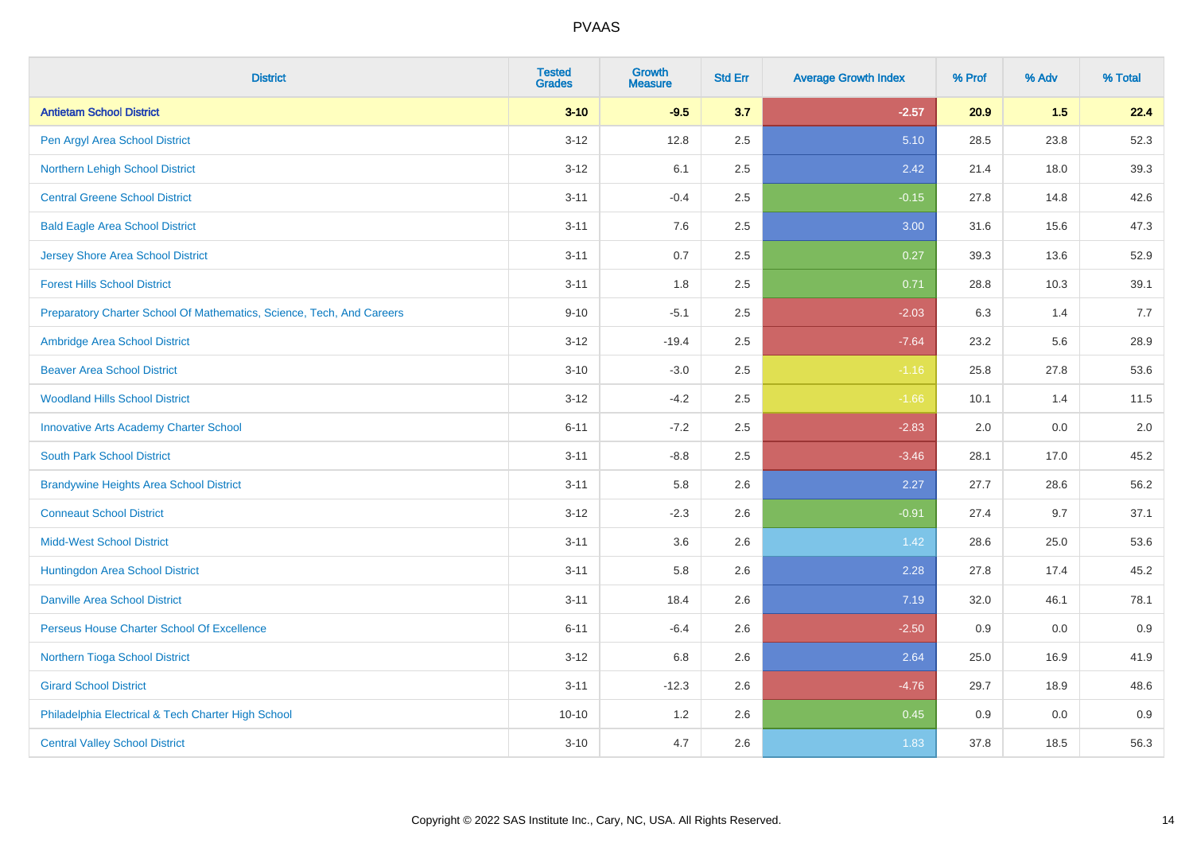| <b>District</b>                                                       | <b>Tested</b><br><b>Grades</b> | <b>Growth</b><br><b>Measure</b> | <b>Std Err</b> | <b>Average Growth Index</b> | % Prof | % Adv | % Total |
|-----------------------------------------------------------------------|--------------------------------|---------------------------------|----------------|-----------------------------|--------|-------|---------|
| <b>Antietam School District</b>                                       | $3 - 10$                       | $-9.5$                          | 3.7            | $-2.57$                     | 20.9   | 1.5   | 22.4    |
| Pen Argyl Area School District                                        | $3 - 12$                       | 12.8                            | 2.5            | 5.10                        | 28.5   | 23.8  | 52.3    |
| Northern Lehigh School District                                       | $3 - 12$                       | 6.1                             | 2.5            | 2.42                        | 21.4   | 18.0  | 39.3    |
| <b>Central Greene School District</b>                                 | $3 - 11$                       | $-0.4$                          | 2.5            | $-0.15$                     | 27.8   | 14.8  | 42.6    |
| <b>Bald Eagle Area School District</b>                                | $3 - 11$                       | 7.6                             | 2.5            | 3.00                        | 31.6   | 15.6  | 47.3    |
| <b>Jersey Shore Area School District</b>                              | $3 - 11$                       | 0.7                             | 2.5            | 0.27                        | 39.3   | 13.6  | 52.9    |
| <b>Forest Hills School District</b>                                   | $3 - 11$                       | 1.8                             | 2.5            | 0.71                        | 28.8   | 10.3  | 39.1    |
| Preparatory Charter School Of Mathematics, Science, Tech, And Careers | $9 - 10$                       | $-5.1$                          | 2.5            | $-2.03$                     | 6.3    | 1.4   | 7.7     |
| Ambridge Area School District                                         | $3 - 12$                       | $-19.4$                         | 2.5            | $-7.64$                     | 23.2   | 5.6   | 28.9    |
| <b>Beaver Area School District</b>                                    | $3 - 10$                       | $-3.0$                          | 2.5            | $-1.16$                     | 25.8   | 27.8  | 53.6    |
| <b>Woodland Hills School District</b>                                 | $3 - 12$                       | $-4.2$                          | 2.5            | $-1.66$                     | 10.1   | 1.4   | 11.5    |
| <b>Innovative Arts Academy Charter School</b>                         | $6 - 11$                       | $-7.2$                          | 2.5            | $-2.83$                     | 2.0    | 0.0   | 2.0     |
| <b>South Park School District</b>                                     | $3 - 11$                       | $-8.8$                          | 2.5            | $-3.46$                     | 28.1   | 17.0  | 45.2    |
| <b>Brandywine Heights Area School District</b>                        | $3 - 11$                       | 5.8                             | 2.6            | 2.27                        | 27.7   | 28.6  | 56.2    |
| <b>Conneaut School District</b>                                       | $3 - 12$                       | $-2.3$                          | 2.6            | $-0.91$                     | 27.4   | 9.7   | 37.1    |
| <b>Midd-West School District</b>                                      | $3 - 11$                       | 3.6                             | 2.6            | 1.42                        | 28.6   | 25.0  | 53.6    |
| Huntingdon Area School District                                       | $3 - 11$                       | 5.8                             | 2.6            | 2.28                        | 27.8   | 17.4  | 45.2    |
| <b>Danville Area School District</b>                                  | $3 - 11$                       | 18.4                            | 2.6            | 7.19                        | 32.0   | 46.1  | 78.1    |
| Perseus House Charter School Of Excellence                            | $6 - 11$                       | $-6.4$                          | 2.6            | $-2.50$                     | 0.9    | 0.0   | 0.9     |
| Northern Tioga School District                                        | $3 - 12$                       | 6.8                             | 2.6            | 2.64                        | 25.0   | 16.9  | 41.9    |
| <b>Girard School District</b>                                         | $3 - 11$                       | $-12.3$                         | 2.6            | $-4.76$                     | 29.7   | 18.9  | 48.6    |
| Philadelphia Electrical & Tech Charter High School                    | $10 - 10$                      | 1.2                             | 2.6            | 0.45                        | 0.9    | 0.0   | 0.9     |
| <b>Central Valley School District</b>                                 | $3 - 10$                       | 4.7                             | 2.6            | 1.83                        | 37.8   | 18.5  | 56.3    |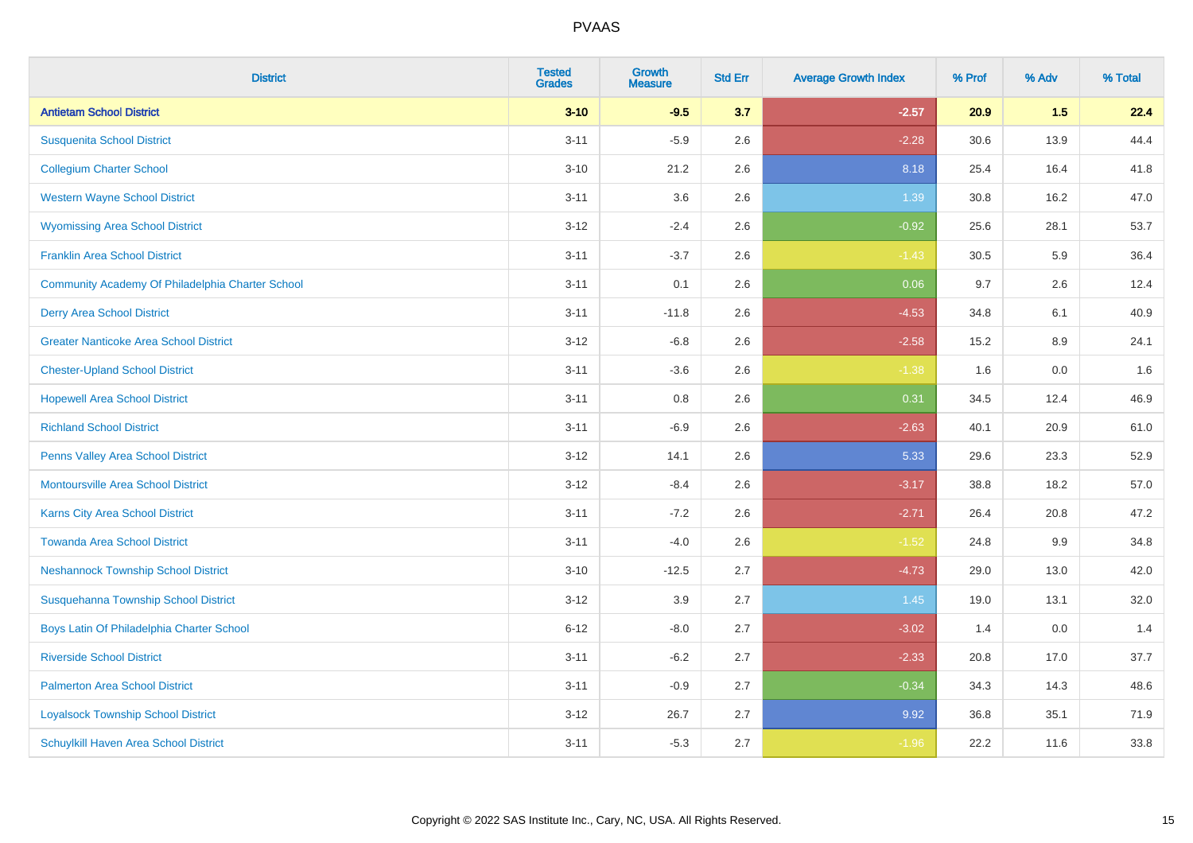| <b>District</b>                                  | <b>Tested</b><br><b>Grades</b> | <b>Growth</b><br><b>Measure</b> | <b>Std Err</b> | <b>Average Growth Index</b> | % Prof | % Adv   | % Total |
|--------------------------------------------------|--------------------------------|---------------------------------|----------------|-----------------------------|--------|---------|---------|
| <b>Antietam School District</b>                  | $3 - 10$                       | $-9.5$                          | 3.7            | $-2.57$                     | 20.9   | 1.5     | 22.4    |
| <b>Susquenita School District</b>                | $3 - 11$                       | $-5.9$                          | 2.6            | $-2.28$                     | 30.6   | 13.9    | 44.4    |
| <b>Collegium Charter School</b>                  | $3 - 10$                       | 21.2                            | 2.6            | 8.18                        | 25.4   | 16.4    | 41.8    |
| <b>Western Wayne School District</b>             | $3 - 11$                       | 3.6                             | 2.6            | 1.39                        | 30.8   | 16.2    | 47.0    |
| <b>Wyomissing Area School District</b>           | $3 - 12$                       | $-2.4$                          | 2.6            | $-0.92$                     | 25.6   | 28.1    | 53.7    |
| <b>Franklin Area School District</b>             | $3 - 11$                       | $-3.7$                          | 2.6            | $-1.43$                     | 30.5   | 5.9     | 36.4    |
| Community Academy Of Philadelphia Charter School | $3 - 11$                       | 0.1                             | 2.6            | 0.06                        | 9.7    | 2.6     | 12.4    |
| <b>Derry Area School District</b>                | $3 - 11$                       | $-11.8$                         | 2.6            | $-4.53$                     | 34.8   | 6.1     | 40.9    |
| <b>Greater Nanticoke Area School District</b>    | $3 - 12$                       | $-6.8$                          | 2.6            | $-2.58$                     | 15.2   | 8.9     | 24.1    |
| <b>Chester-Upland School District</b>            | $3 - 11$                       | $-3.6$                          | 2.6            | $-1.38$                     | 1.6    | 0.0     | 1.6     |
| <b>Hopewell Area School District</b>             | $3 - 11$                       | 0.8                             | 2.6            | 0.31                        | 34.5   | 12.4    | 46.9    |
| <b>Richland School District</b>                  | $3 - 11$                       | $-6.9$                          | 2.6            | $-2.63$                     | 40.1   | 20.9    | 61.0    |
| Penns Valley Area School District                | $3 - 12$                       | 14.1                            | 2.6            | 5.33                        | 29.6   | 23.3    | 52.9    |
| <b>Montoursville Area School District</b>        | $3 - 12$                       | $-8.4$                          | 2.6            | $-3.17$                     | 38.8   | 18.2    | 57.0    |
| <b>Karns City Area School District</b>           | $3 - 11$                       | $-7.2$                          | 2.6            | $-2.71$                     | 26.4   | 20.8    | 47.2    |
| <b>Towanda Area School District</b>              | $3 - 11$                       | $-4.0$                          | 2.6            | $-1.52$                     | 24.8   | $9.9\,$ | 34.8    |
| <b>Neshannock Township School District</b>       | $3 - 10$                       | $-12.5$                         | 2.7            | $-4.73$                     | 29.0   | 13.0    | 42.0    |
| Susquehanna Township School District             | $3 - 12$                       | 3.9                             | 2.7            | 1.45                        | 19.0   | 13.1    | 32.0    |
| Boys Latin Of Philadelphia Charter School        | $6 - 12$                       | $-8.0$                          | 2.7            | $-3.02$                     | 1.4    | 0.0     | 1.4     |
| <b>Riverside School District</b>                 | $3 - 11$                       | $-6.2$                          | 2.7            | $-2.33$                     | 20.8   | 17.0    | 37.7    |
| <b>Palmerton Area School District</b>            | $3 - 11$                       | $-0.9$                          | 2.7            | $-0.34$                     | 34.3   | 14.3    | 48.6    |
| <b>Loyalsock Township School District</b>        | $3 - 12$                       | 26.7                            | 2.7            | 9.92                        | 36.8   | 35.1    | 71.9    |
| Schuylkill Haven Area School District            | $3 - 11$                       | $-5.3$                          | 2.7            | $-1.96$                     | 22.2   | 11.6    | 33.8    |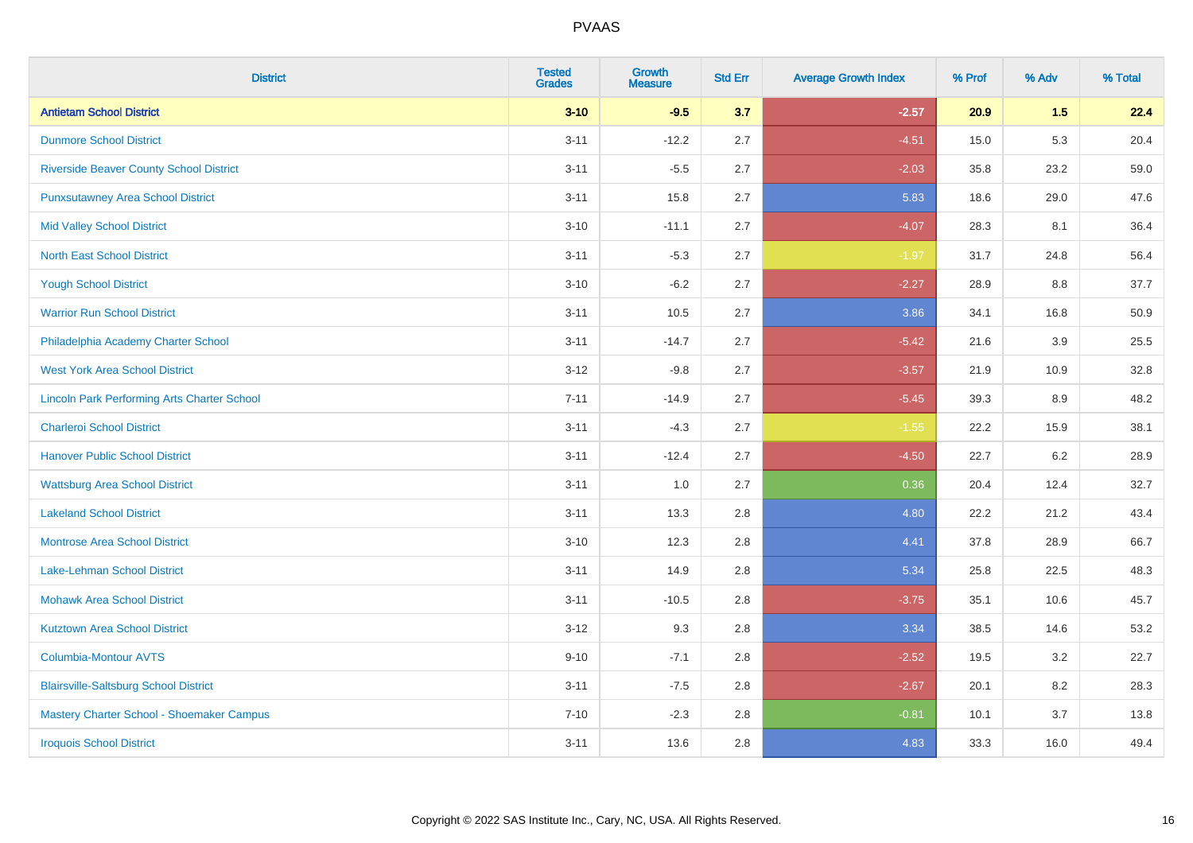| <b>District</b>                                    | <b>Tested</b><br><b>Grades</b> | <b>Growth</b><br><b>Measure</b> | <b>Std Err</b> | <b>Average Growth Index</b> | % Prof | % Adv | % Total |
|----------------------------------------------------|--------------------------------|---------------------------------|----------------|-----------------------------|--------|-------|---------|
| <b>Antietam School District</b>                    | $3 - 10$                       | $-9.5$                          | 3.7            | $-2.57$                     | 20.9   | 1.5   | 22.4    |
| <b>Dunmore School District</b>                     | $3 - 11$                       | $-12.2$                         | 2.7            | $-4.51$                     | 15.0   | 5.3   | 20.4    |
| <b>Riverside Beaver County School District</b>     | $3 - 11$                       | $-5.5$                          | 2.7            | $-2.03$                     | 35.8   | 23.2  | 59.0    |
| <b>Punxsutawney Area School District</b>           | $3 - 11$                       | 15.8                            | 2.7            | 5.83                        | 18.6   | 29.0  | 47.6    |
| <b>Mid Valley School District</b>                  | $3 - 10$                       | $-11.1$                         | 2.7            | $-4.07$                     | 28.3   | 8.1   | 36.4    |
| <b>North East School District</b>                  | $3 - 11$                       | $-5.3$                          | 2.7            | $-1.97$                     | 31.7   | 24.8  | 56.4    |
| <b>Yough School District</b>                       | $3 - 10$                       | $-6.2$                          | 2.7            | $-2.27$                     | 28.9   | 8.8   | 37.7    |
| <b>Warrior Run School District</b>                 | $3 - 11$                       | 10.5                            | 2.7            | 3.86                        | 34.1   | 16.8  | 50.9    |
| Philadelphia Academy Charter School                | $3 - 11$                       | $-14.7$                         | 2.7            | $-5.42$                     | 21.6   | 3.9   | 25.5    |
| <b>West York Area School District</b>              | $3-12$                         | $-9.8$                          | 2.7            | $-3.57$                     | 21.9   | 10.9  | 32.8    |
| <b>Lincoln Park Performing Arts Charter School</b> | $7 - 11$                       | $-14.9$                         | 2.7            | $-5.45$                     | 39.3   | 8.9   | 48.2    |
| <b>Charleroi School District</b>                   | $3 - 11$                       | $-4.3$                          | 2.7            | $-1.55$                     | 22.2   | 15.9  | 38.1    |
| <b>Hanover Public School District</b>              | $3 - 11$                       | $-12.4$                         | 2.7            | $-4.50$                     | 22.7   | 6.2   | 28.9    |
| <b>Wattsburg Area School District</b>              | $3 - 11$                       | 1.0                             | 2.7            | 0.36                        | 20.4   | 12.4  | 32.7    |
| <b>Lakeland School District</b>                    | $3 - 11$                       | 13.3                            | 2.8            | 4.80                        | 22.2   | 21.2  | 43.4    |
| <b>Montrose Area School District</b>               | $3 - 10$                       | 12.3                            | 2.8            | 4.41                        | 37.8   | 28.9  | 66.7    |
| Lake-Lehman School District                        | $3 - 11$                       | 14.9                            | 2.8            | 5.34                        | 25.8   | 22.5  | 48.3    |
| <b>Mohawk Area School District</b>                 | $3 - 11$                       | $-10.5$                         | 2.8            | $-3.75$                     | 35.1   | 10.6  | 45.7    |
| <b>Kutztown Area School District</b>               | $3-12$                         | 9.3                             | 2.8            | 3.34                        | 38.5   | 14.6  | 53.2    |
| <b>Columbia-Montour AVTS</b>                       | $9 - 10$                       | $-7.1$                          | 2.8            | $-2.52$                     | 19.5   | 3.2   | 22.7    |
| <b>Blairsville-Saltsburg School District</b>       | $3 - 11$                       | $-7.5$                          | 2.8            | $-2.67$                     | 20.1   | 8.2   | 28.3    |
| Mastery Charter School - Shoemaker Campus          | $7 - 10$                       | $-2.3$                          | 2.8            | $-0.81$                     | 10.1   | 3.7   | 13.8    |
| <b>Iroquois School District</b>                    | $3 - 11$                       | 13.6                            | 2.8            | 4.83                        | 33.3   | 16.0  | 49.4    |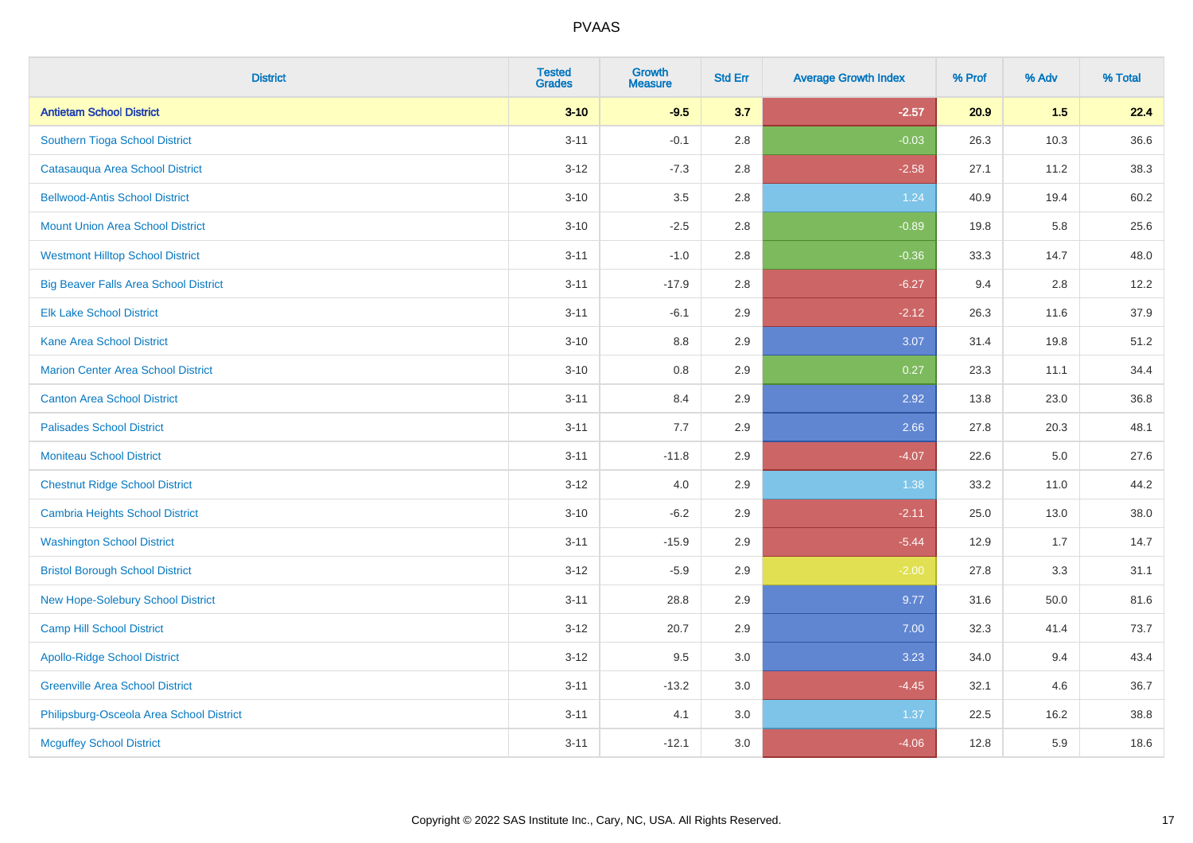| <b>District</b>                              | <b>Tested</b><br><b>Grades</b> | <b>Growth</b><br><b>Measure</b> | <b>Std Err</b> | <b>Average Growth Index</b> | % Prof | % Adv | % Total |
|----------------------------------------------|--------------------------------|---------------------------------|----------------|-----------------------------|--------|-------|---------|
| <b>Antietam School District</b>              | $3 - 10$                       | $-9.5$                          | 3.7            | $-2.57$                     | 20.9   | 1.5   | 22.4    |
| Southern Tioga School District               | $3 - 11$                       | $-0.1$                          | 2.8            | $-0.03$                     | 26.3   | 10.3  | 36.6    |
| Catasauqua Area School District              | $3 - 12$                       | $-7.3$                          | 2.8            | $-2.58$                     | 27.1   | 11.2  | 38.3    |
| <b>Bellwood-Antis School District</b>        | $3 - 10$                       | $3.5\,$                         | 2.8            | 1.24                        | 40.9   | 19.4  | 60.2    |
| <b>Mount Union Area School District</b>      | $3 - 10$                       | $-2.5$                          | 2.8            | $-0.89$                     | 19.8   | 5.8   | 25.6    |
| <b>Westmont Hilltop School District</b>      | $3 - 11$                       | $-1.0$                          | 2.8            | $-0.36$                     | 33.3   | 14.7  | 48.0    |
| <b>Big Beaver Falls Area School District</b> | $3 - 11$                       | $-17.9$                         | 2.8            | $-6.27$                     | 9.4    | 2.8   | 12.2    |
| <b>Elk Lake School District</b>              | $3 - 11$                       | $-6.1$                          | 2.9            | $-2.12$                     | 26.3   | 11.6  | 37.9    |
| <b>Kane Area School District</b>             | $3 - 10$                       | 8.8                             | 2.9            | 3.07                        | 31.4   | 19.8  | 51.2    |
| <b>Marion Center Area School District</b>    | $3 - 10$                       | $0.8\,$                         | 2.9            | 0.27                        | 23.3   | 11.1  | 34.4    |
| <b>Canton Area School District</b>           | $3 - 11$                       | 8.4                             | 2.9            | 2.92                        | 13.8   | 23.0  | 36.8    |
| <b>Palisades School District</b>             | $3 - 11$                       | 7.7                             | 2.9            | 2.66                        | 27.8   | 20.3  | 48.1    |
| <b>Moniteau School District</b>              | $3 - 11$                       | $-11.8$                         | 2.9            | $-4.07$                     | 22.6   | 5.0   | 27.6    |
| <b>Chestnut Ridge School District</b>        | $3-12$                         | 4.0                             | 2.9            | 1.38                        | 33.2   | 11.0  | 44.2    |
| <b>Cambria Heights School District</b>       | $3 - 10$                       | $-6.2$                          | 2.9            | $-2.11$                     | 25.0   | 13.0  | 38.0    |
| <b>Washington School District</b>            | $3 - 11$                       | $-15.9$                         | 2.9            | $-5.44$                     | 12.9   | 1.7   | 14.7    |
| <b>Bristol Borough School District</b>       | $3 - 12$                       | $-5.9$                          | 2.9            | $-2.00$                     | 27.8   | 3.3   | 31.1    |
| New Hope-Solebury School District            | $3 - 11$                       | 28.8                            | 2.9            | 9.77                        | 31.6   | 50.0  | 81.6    |
| <b>Camp Hill School District</b>             | $3 - 12$                       | 20.7                            | 2.9            | 7.00                        | 32.3   | 41.4  | 73.7    |
| <b>Apollo-Ridge School District</b>          | $3 - 12$                       | 9.5                             | 3.0            | 3.23                        | 34.0   | 9.4   | 43.4    |
| <b>Greenville Area School District</b>       | $3 - 11$                       | $-13.2$                         | 3.0            | $-4.45$                     | 32.1   | 4.6   | 36.7    |
| Philipsburg-Osceola Area School District     | $3 - 11$                       | 4.1                             | 3.0            | 1.37                        | 22.5   | 16.2  | 38.8    |
| <b>Mcguffey School District</b>              | $3 - 11$                       | $-12.1$                         | 3.0            | $-4.06$                     | 12.8   | 5.9   | 18.6    |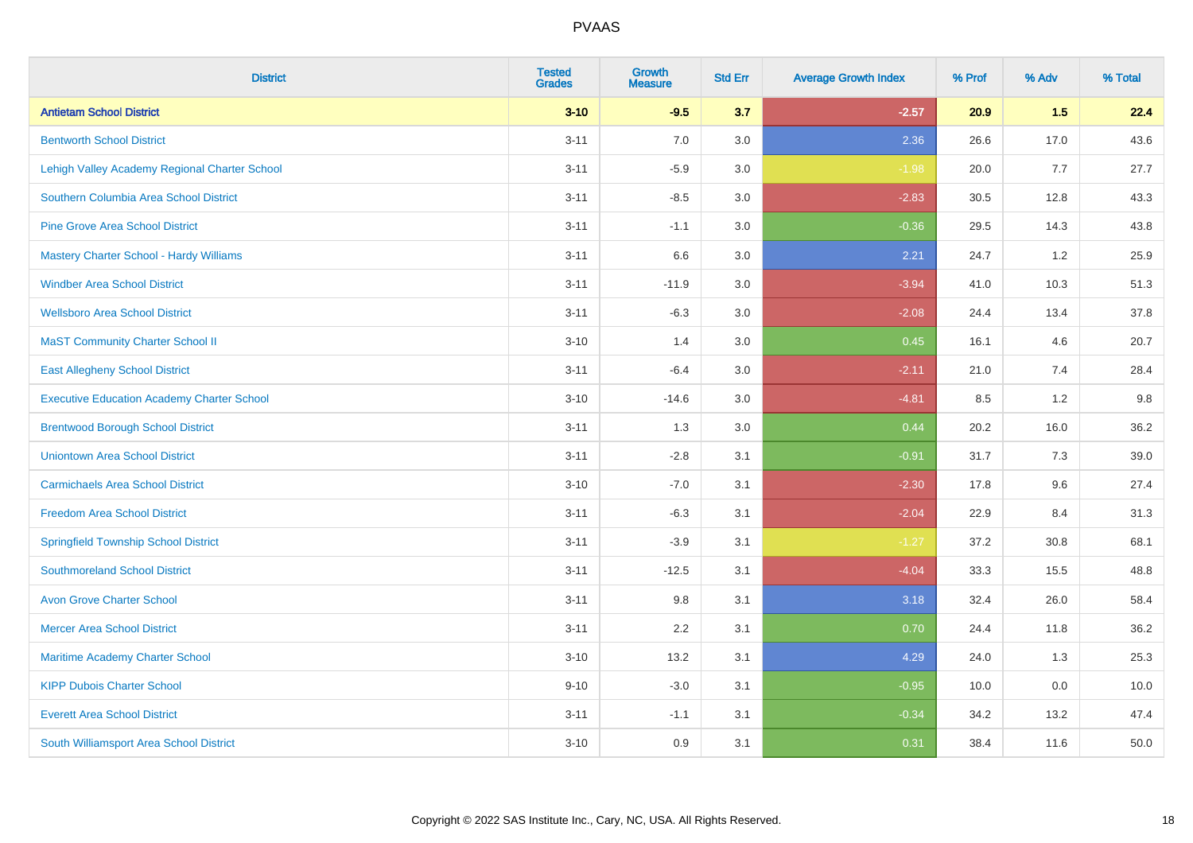| <b>District</b>                                   | <b>Tested</b><br><b>Grades</b> | <b>Growth</b><br><b>Measure</b> | <b>Std Err</b> | <b>Average Growth Index</b> | % Prof | % Adv | % Total |
|---------------------------------------------------|--------------------------------|---------------------------------|----------------|-----------------------------|--------|-------|---------|
| <b>Antietam School District</b>                   | $3 - 10$                       | $-9.5$                          | 3.7            | $-2.57$                     | 20.9   | 1.5   | 22.4    |
| <b>Bentworth School District</b>                  | $3 - 11$                       | 7.0                             | 3.0            | 2.36                        | 26.6   | 17.0  | 43.6    |
| Lehigh Valley Academy Regional Charter School     | $3 - 11$                       | $-5.9$                          | 3.0            | $-1.98$                     | 20.0   | 7.7   | 27.7    |
| Southern Columbia Area School District            | $3 - 11$                       | $-8.5$                          | 3.0            | $-2.83$                     | 30.5   | 12.8  | 43.3    |
| <b>Pine Grove Area School District</b>            | $3 - 11$                       | $-1.1$                          | 3.0            | $-0.36$                     | 29.5   | 14.3  | 43.8    |
| Mastery Charter School - Hardy Williams           | $3 - 11$                       | 6.6                             | 3.0            | 2.21                        | 24.7   | 1.2   | 25.9    |
| <b>Windber Area School District</b>               | $3 - 11$                       | $-11.9$                         | 3.0            | $-3.94$                     | 41.0   | 10.3  | 51.3    |
| <b>Wellsboro Area School District</b>             | $3 - 11$                       | $-6.3$                          | 3.0            | $-2.08$                     | 24.4   | 13.4  | 37.8    |
| <b>MaST Community Charter School II</b>           | $3 - 10$                       | 1.4                             | 3.0            | 0.45                        | 16.1   | 4.6   | 20.7    |
| <b>East Allegheny School District</b>             | $3 - 11$                       | $-6.4$                          | 3.0            | $-2.11$                     | 21.0   | 7.4   | 28.4    |
| <b>Executive Education Academy Charter School</b> | $3 - 10$                       | $-14.6$                         | 3.0            | $-4.81$                     | 8.5    | 1.2   | 9.8     |
| <b>Brentwood Borough School District</b>          | $3 - 11$                       | 1.3                             | 3.0            | 0.44                        | 20.2   | 16.0  | 36.2    |
| <b>Uniontown Area School District</b>             | $3 - 11$                       | $-2.8$                          | 3.1            | $-0.91$                     | 31.7   | 7.3   | 39.0    |
| <b>Carmichaels Area School District</b>           | $3 - 10$                       | $-7.0$                          | 3.1            | $-2.30$                     | 17.8   | 9.6   | 27.4    |
| <b>Freedom Area School District</b>               | $3 - 11$                       | $-6.3$                          | 3.1            | $-2.04$                     | 22.9   | 8.4   | 31.3    |
| <b>Springfield Township School District</b>       | $3 - 11$                       | $-3.9$                          | 3.1            | $-1.27$                     | 37.2   | 30.8  | 68.1    |
| <b>Southmoreland School District</b>              | $3 - 11$                       | $-12.5$                         | 3.1            | $-4.04$                     | 33.3   | 15.5  | 48.8    |
| <b>Avon Grove Charter School</b>                  | $3 - 11$                       | 9.8                             | 3.1            | 3.18                        | 32.4   | 26.0  | 58.4    |
| <b>Mercer Area School District</b>                | $3 - 11$                       | 2.2                             | 3.1            | 0.70                        | 24.4   | 11.8  | 36.2    |
| Maritime Academy Charter School                   | $3 - 10$                       | 13.2                            | 3.1            | 4.29                        | 24.0   | 1.3   | 25.3    |
| <b>KIPP Dubois Charter School</b>                 | $9 - 10$                       | $-3.0$                          | 3.1            | $-0.95$                     | 10.0   | 0.0   | 10.0    |
| <b>Everett Area School District</b>               | $3 - 11$                       | $-1.1$                          | 3.1            | $-0.34$                     | 34.2   | 13.2  | 47.4    |
| South Williamsport Area School District           | $3 - 10$                       | 0.9                             | 3.1            | 0.31                        | 38.4   | 11.6  | 50.0    |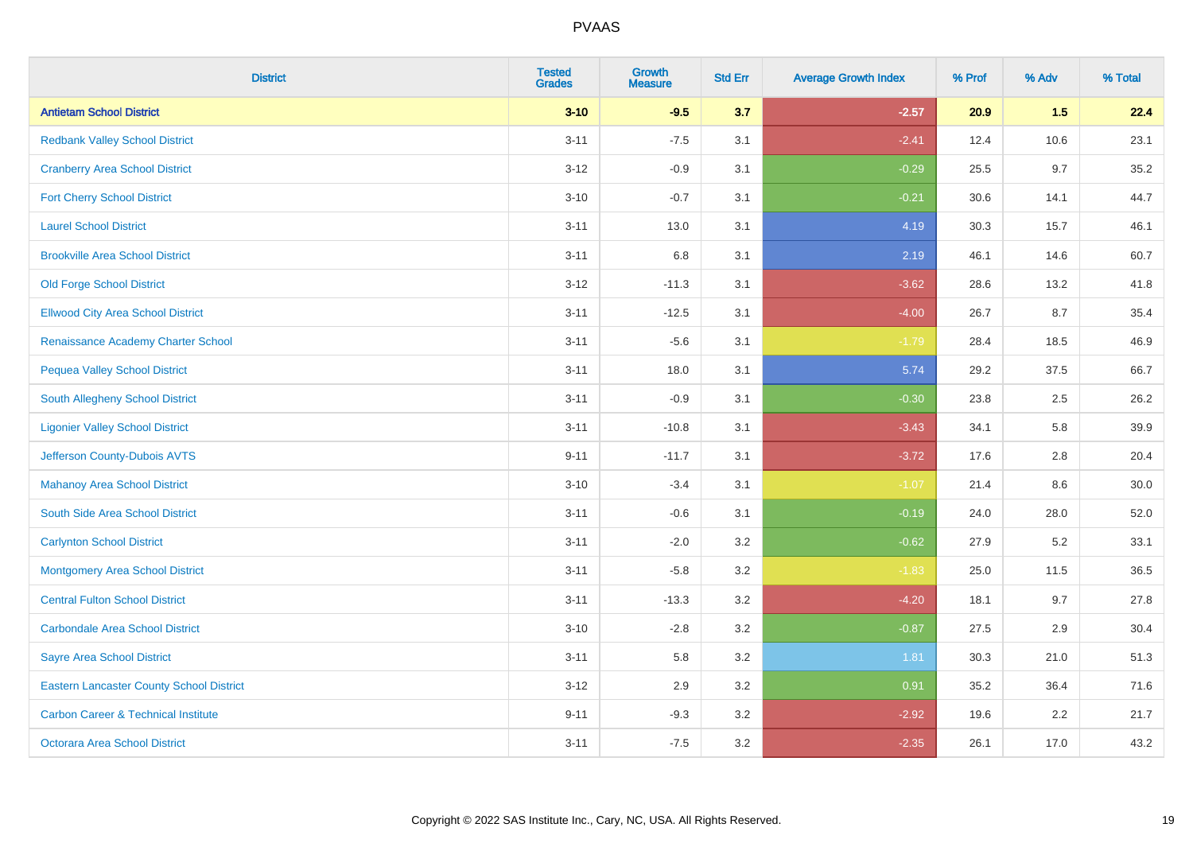| <b>District</b>                                 | <b>Tested</b><br><b>Grades</b> | <b>Growth</b><br><b>Measure</b> | <b>Std Err</b> | <b>Average Growth Index</b> | % Prof | % Adv | % Total |
|-------------------------------------------------|--------------------------------|---------------------------------|----------------|-----------------------------|--------|-------|---------|
| <b>Antietam School District</b>                 | $3 - 10$                       | $-9.5$                          | 3.7            | $-2.57$                     | 20.9   | 1.5   | 22.4    |
| <b>Redbank Valley School District</b>           | $3 - 11$                       | $-7.5$                          | 3.1            | $-2.41$                     | 12.4   | 10.6  | 23.1    |
| <b>Cranberry Area School District</b>           | $3 - 12$                       | $-0.9$                          | 3.1            | $-0.29$                     | 25.5   | 9.7   | 35.2    |
| <b>Fort Cherry School District</b>              | $3 - 10$                       | $-0.7$                          | 3.1            | $-0.21$                     | 30.6   | 14.1  | 44.7    |
| <b>Laurel School District</b>                   | $3 - 11$                       | 13.0                            | 3.1            | 4.19                        | 30.3   | 15.7  | 46.1    |
| <b>Brookville Area School District</b>          | $3 - 11$                       | 6.8                             | 3.1            | 2.19                        | 46.1   | 14.6  | 60.7    |
| <b>Old Forge School District</b>                | $3 - 12$                       | $-11.3$                         | 3.1            | $-3.62$                     | 28.6   | 13.2  | 41.8    |
| <b>Ellwood City Area School District</b>        | $3 - 11$                       | $-12.5$                         | 3.1            | $-4.00$                     | 26.7   | 8.7   | 35.4    |
| Renaissance Academy Charter School              | $3 - 11$                       | $-5.6$                          | 3.1            | $-1.79$                     | 28.4   | 18.5  | 46.9    |
| <b>Pequea Valley School District</b>            | $3 - 11$                       | 18.0                            | 3.1            | 5.74                        | 29.2   | 37.5  | 66.7    |
| South Allegheny School District                 | $3 - 11$                       | $-0.9$                          | 3.1            | $-0.30$                     | 23.8   | 2.5   | 26.2    |
| <b>Ligonier Valley School District</b>          | $3 - 11$                       | $-10.8$                         | 3.1            | $-3.43$                     | 34.1   | 5.8   | 39.9    |
| Jefferson County-Dubois AVTS                    | $9 - 11$                       | $-11.7$                         | 3.1            | $-3.72$                     | 17.6   | 2.8   | 20.4    |
| <b>Mahanoy Area School District</b>             | $3 - 10$                       | $-3.4$                          | 3.1            | $-1.07$                     | 21.4   | 8.6   | 30.0    |
| South Side Area School District                 | $3 - 11$                       | $-0.6$                          | 3.1            | $-0.19$                     | 24.0   | 28.0  | 52.0    |
| <b>Carlynton School District</b>                | $3 - 11$                       | $-2.0$                          | 3.2            | $-0.62$                     | 27.9   | 5.2   | 33.1    |
| <b>Montgomery Area School District</b>          | $3 - 11$                       | $-5.8$                          | 3.2            | $-1.83$                     | 25.0   | 11.5  | 36.5    |
| <b>Central Fulton School District</b>           | $3 - 11$                       | $-13.3$                         | 3.2            | $-4.20$                     | 18.1   | 9.7   | 27.8    |
| <b>Carbondale Area School District</b>          | $3 - 10$                       | $-2.8$                          | 3.2            | $-0.87$                     | 27.5   | 2.9   | 30.4    |
| <b>Sayre Area School District</b>               | $3 - 11$                       | 5.8                             | 3.2            | 1.81                        | 30.3   | 21.0  | 51.3    |
| <b>Eastern Lancaster County School District</b> | $3 - 12$                       | 2.9                             | 3.2            | 0.91                        | 35.2   | 36.4  | 71.6    |
| <b>Carbon Career &amp; Technical Institute</b>  | $9 - 11$                       | $-9.3$                          | 3.2            | $-2.92$                     | 19.6   | 2.2   | 21.7    |
| Octorara Area School District                   | $3 - 11$                       | $-7.5$                          | 3.2            | $-2.35$                     | 26.1   | 17.0  | 43.2    |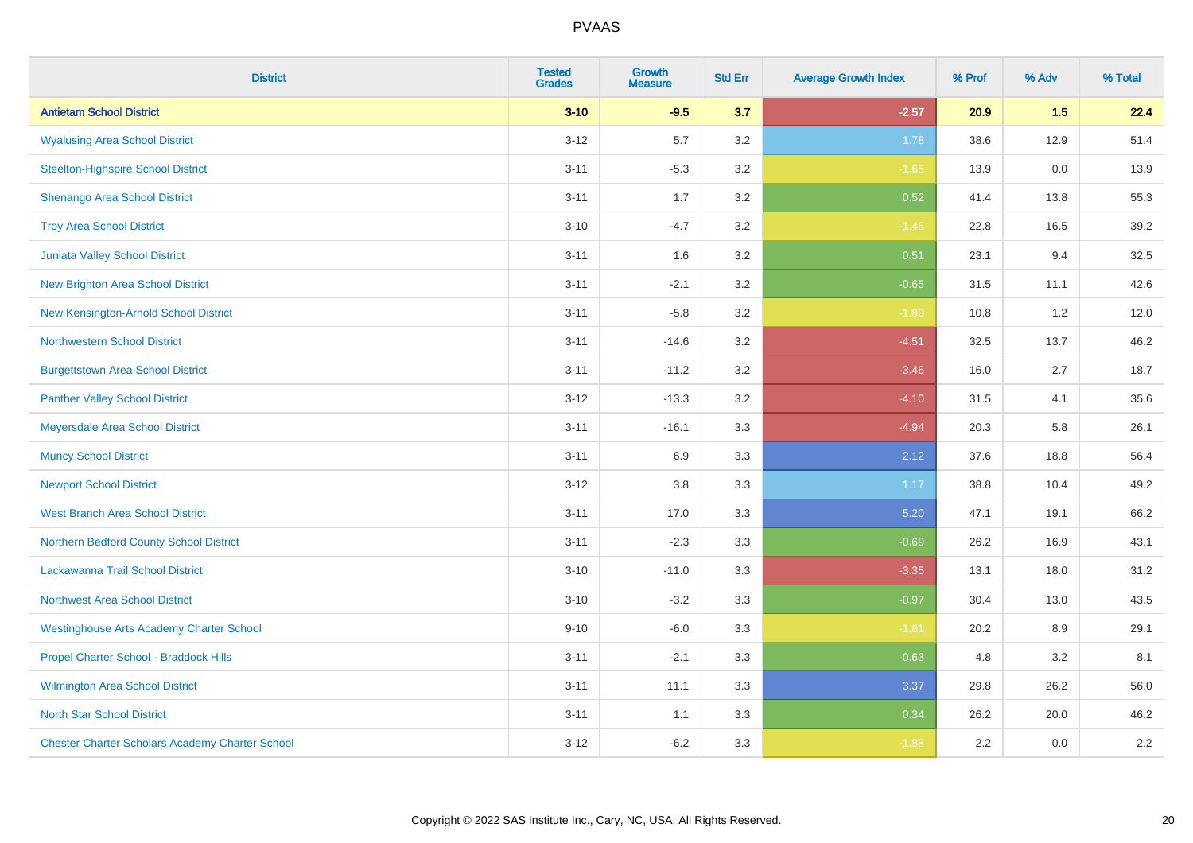| <b>District</b>                                        | <b>Tested</b><br><b>Grades</b> | <b>Growth</b><br><b>Measure</b> | <b>Std Err</b> | <b>Average Growth Index</b> | % Prof | % Adv | % Total |
|--------------------------------------------------------|--------------------------------|---------------------------------|----------------|-----------------------------|--------|-------|---------|
| <b>Antietam School District</b>                        | $3 - 10$                       | $-9.5$                          | 3.7            | $-2.57$                     | 20.9   | 1.5   | 22.4    |
| <b>Wyalusing Area School District</b>                  | $3 - 12$                       | 5.7                             | 3.2            | 1.78                        | 38.6   | 12.9  | 51.4    |
| <b>Steelton-Highspire School District</b>              | $3 - 11$                       | $-5.3$                          | 3.2            | $-1.65$                     | 13.9   | 0.0   | 13.9    |
| Shenango Area School District                          | $3 - 11$                       | 1.7                             | 3.2            | 0.52                        | 41.4   | 13.8  | 55.3    |
| <b>Troy Area School District</b>                       | $3 - 10$                       | $-4.7$                          | 3.2            | $-1.46$                     | 22.8   | 16.5  | 39.2    |
| Juniata Valley School District                         | $3 - 11$                       | 1.6                             | 3.2            | 0.51                        | 23.1   | 9.4   | 32.5    |
| <b>New Brighton Area School District</b>               | $3 - 11$                       | $-2.1$                          | 3.2            | $-0.65$                     | 31.5   | 11.1  | 42.6    |
| New Kensington-Arnold School District                  | $3 - 11$                       | $-5.8$                          | 3.2            | $-1.80$                     | 10.8   | 1.2   | 12.0    |
| <b>Northwestern School District</b>                    | $3 - 11$                       | $-14.6$                         | 3.2            | $-4.51$                     | 32.5   | 13.7  | 46.2    |
| <b>Burgettstown Area School District</b>               | $3 - 11$                       | $-11.2$                         | 3.2            | $-3.46$                     | 16.0   | 2.7   | 18.7    |
| <b>Panther Valley School District</b>                  | $3 - 12$                       | $-13.3$                         | 3.2            | $-4.10$                     | 31.5   | 4.1   | 35.6    |
| Meyersdale Area School District                        | $3 - 11$                       | $-16.1$                         | 3.3            | $-4.94$                     | 20.3   | 5.8   | 26.1    |
| <b>Muncy School District</b>                           | $3 - 11$                       | 6.9                             | 3.3            | 2.12                        | 37.6   | 18.8  | 56.4    |
| <b>Newport School District</b>                         | $3 - 12$                       | 3.8                             | 3.3            | 1.17                        | 38.8   | 10.4  | 49.2    |
| <b>West Branch Area School District</b>                | $3 - 11$                       | 17.0                            | 3.3            | 5.20                        | 47.1   | 19.1  | 66.2    |
| Northern Bedford County School District                | $3 - 11$                       | $-2.3$                          | 3.3            | $-0.69$                     | 26.2   | 16.9  | 43.1    |
| Lackawanna Trail School District                       | $3 - 10$                       | $-11.0$                         | 3.3            | $-3.35$                     | 13.1   | 18.0  | 31.2    |
| Northwest Area School District                         | $3 - 10$                       | $-3.2$                          | 3.3            | $-0.97$                     | 30.4   | 13.0  | 43.5    |
| <b>Westinghouse Arts Academy Charter School</b>        | $9 - 10$                       | $-6.0$                          | 3.3            | $-1.81$                     | 20.2   | 8.9   | 29.1    |
| Propel Charter School - Braddock Hills                 | $3 - 11$                       | $-2.1$                          | 3.3            | $-0.63$                     | 4.8    | 3.2   | 8.1     |
| Wilmington Area School District                        | $3 - 11$                       | 11.1                            | 3.3            | 3.37                        | 29.8   | 26.2  | 56.0    |
| <b>North Star School District</b>                      | $3 - 11$                       | 1.1                             | 3.3            | 0.34                        | 26.2   | 20.0  | 46.2    |
| <b>Chester Charter Scholars Academy Charter School</b> | $3 - 12$                       | $-6.2$                          | 3.3            | $-1.88$                     | 2.2    | 0.0   | 2.2     |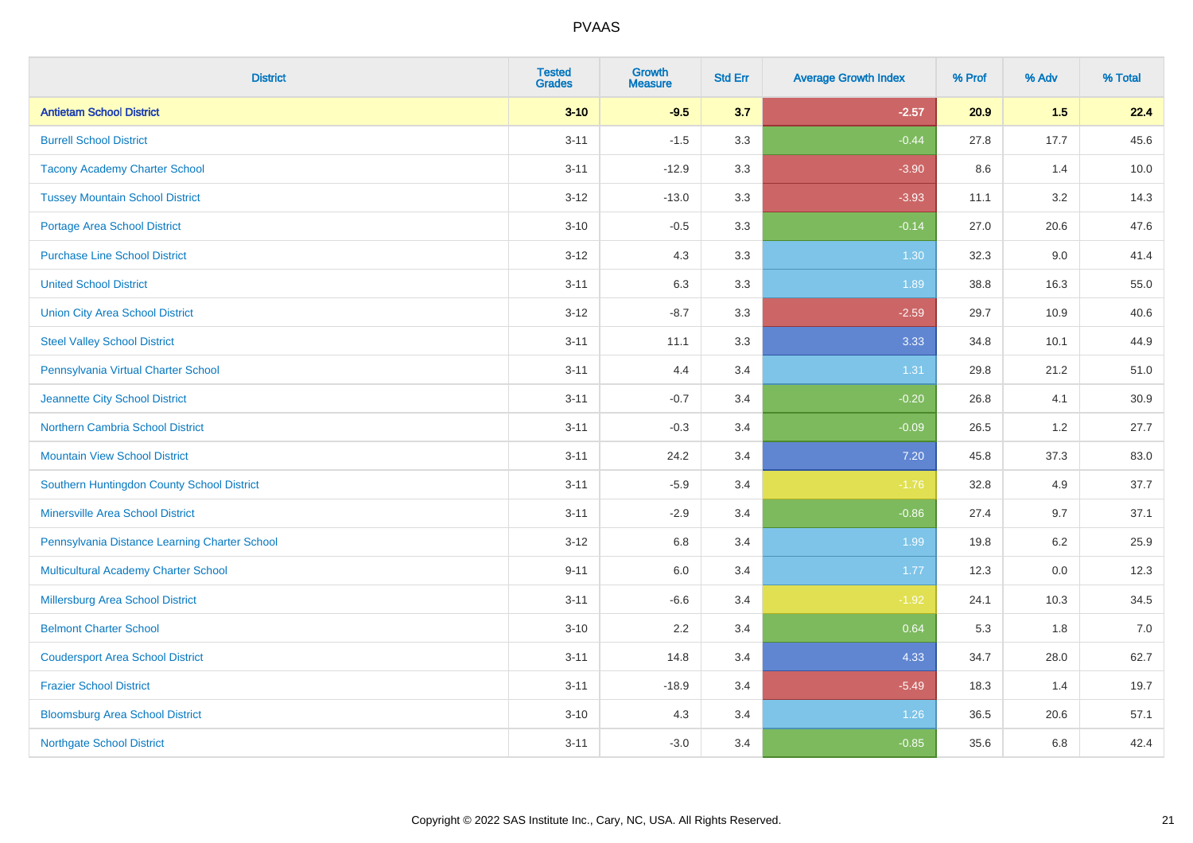| <b>District</b>                               | <b>Tested</b><br><b>Grades</b> | <b>Growth</b><br><b>Measure</b> | <b>Std Err</b> | <b>Average Growth Index</b> | % Prof | % Adv   | % Total |
|-----------------------------------------------|--------------------------------|---------------------------------|----------------|-----------------------------|--------|---------|---------|
| <b>Antietam School District</b>               | $3 - 10$                       | $-9.5$                          | 3.7            | $-2.57$                     | 20.9   | 1.5     | 22.4    |
| <b>Burrell School District</b>                | $3 - 11$                       | $-1.5$                          | 3.3            | $-0.44$                     | 27.8   | 17.7    | 45.6    |
| <b>Tacony Academy Charter School</b>          | $3 - 11$                       | $-12.9$                         | 3.3            | $-3.90$                     | 8.6    | 1.4     | 10.0    |
| <b>Tussey Mountain School District</b>        | $3 - 12$                       | $-13.0$                         | 3.3            | $-3.93$                     | 11.1   | 3.2     | 14.3    |
| <b>Portage Area School District</b>           | $3 - 10$                       | $-0.5$                          | 3.3            | $-0.14$                     | 27.0   | 20.6    | 47.6    |
| <b>Purchase Line School District</b>          | $3 - 12$                       | 4.3                             | 3.3            | 1.30                        | 32.3   | 9.0     | 41.4    |
| <b>United School District</b>                 | $3 - 11$                       | 6.3                             | 3.3            | 1.89                        | 38.8   | 16.3    | 55.0    |
| <b>Union City Area School District</b>        | $3 - 12$                       | $-8.7$                          | 3.3            | $-2.59$                     | 29.7   | 10.9    | 40.6    |
| <b>Steel Valley School District</b>           | $3 - 11$                       | 11.1                            | 3.3            | 3.33                        | 34.8   | 10.1    | 44.9    |
| Pennsylvania Virtual Charter School           | $3 - 11$                       | 4.4                             | 3.4            | 1.31                        | 29.8   | 21.2    | 51.0    |
| Jeannette City School District                | $3 - 11$                       | $-0.7$                          | 3.4            | $-0.20$                     | 26.8   | 4.1     | 30.9    |
| Northern Cambria School District              | $3 - 11$                       | $-0.3$                          | 3.4            | $-0.09$                     | 26.5   | 1.2     | 27.7    |
| <b>Mountain View School District</b>          | $3 - 11$                       | 24.2                            | 3.4            | 7.20                        | 45.8   | 37.3    | 83.0    |
| Southern Huntingdon County School District    | $3 - 11$                       | $-5.9$                          | 3.4            | $-1.76$                     | 32.8   | 4.9     | 37.7    |
| <b>Minersville Area School District</b>       | $3 - 11$                       | $-2.9$                          | 3.4            | $-0.86$                     | 27.4   | 9.7     | 37.1    |
| Pennsylvania Distance Learning Charter School | $3 - 12$                       | 6.8                             | 3.4            | 1.99                        | 19.8   | 6.2     | 25.9    |
| <b>Multicultural Academy Charter School</b>   | $9 - 11$                       | 6.0                             | 3.4            | 1.77                        | 12.3   | $0.0\,$ | 12.3    |
| Millersburg Area School District              | $3 - 11$                       | $-6.6$                          | 3.4            | $-1.92$                     | 24.1   | 10.3    | 34.5    |
| <b>Belmont Charter School</b>                 | $3 - 10$                       | 2.2                             | 3.4            | 0.64                        | 5.3    | 1.8     | 7.0     |
| <b>Coudersport Area School District</b>       | $3 - 11$                       | 14.8                            | 3.4            | 4.33                        | 34.7   | 28.0    | 62.7    |
| <b>Frazier School District</b>                | $3 - 11$                       | $-18.9$                         | 3.4            | $-5.49$                     | 18.3   | 1.4     | 19.7    |
| <b>Bloomsburg Area School District</b>        | $3 - 10$                       | 4.3                             | 3.4            | 1.26                        | 36.5   | 20.6    | 57.1    |
| <b>Northgate School District</b>              | $3 - 11$                       | $-3.0$                          | 3.4            | $-0.85$                     | 35.6   | 6.8     | 42.4    |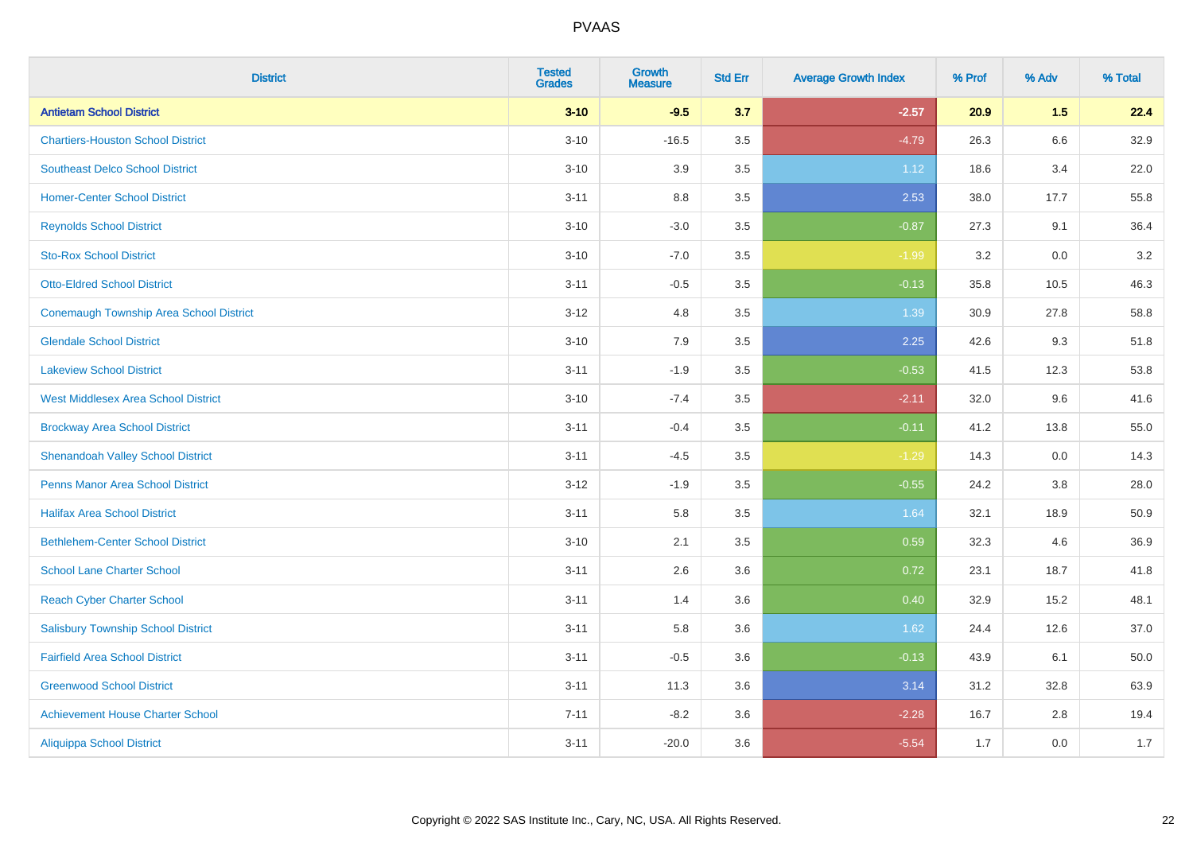| <b>District</b>                                | <b>Tested</b><br><b>Grades</b> | <b>Growth</b><br><b>Measure</b> | <b>Std Err</b> | <b>Average Growth Index</b> | % Prof | % Adv | % Total |
|------------------------------------------------|--------------------------------|---------------------------------|----------------|-----------------------------|--------|-------|---------|
| <b>Antietam School District</b>                | $3 - 10$                       | $-9.5$                          | 3.7            | $-2.57$                     | 20.9   | 1.5   | 22.4    |
| <b>Chartiers-Houston School District</b>       | $3 - 10$                       | $-16.5$                         | 3.5            | $-4.79$                     | 26.3   | 6.6   | 32.9    |
| <b>Southeast Delco School District</b>         | $3 - 10$                       | 3.9                             | 3.5            | 1.12                        | 18.6   | 3.4   | 22.0    |
| <b>Homer-Center School District</b>            | $3 - 11$                       | 8.8                             | 3.5            | 2.53                        | 38.0   | 17.7  | 55.8    |
| <b>Reynolds School District</b>                | $3 - 10$                       | $-3.0$                          | 3.5            | $-0.87$                     | 27.3   | 9.1   | 36.4    |
| <b>Sto-Rox School District</b>                 | $3 - 10$                       | $-7.0$                          | 3.5            | $-1.99$                     | 3.2    | 0.0   | $3.2\,$ |
| <b>Otto-Eldred School District</b>             | $3 - 11$                       | $-0.5$                          | 3.5            | $-0.13$                     | 35.8   | 10.5  | 46.3    |
| <b>Conemaugh Township Area School District</b> | $3 - 12$                       | 4.8                             | 3.5            | 1.39                        | 30.9   | 27.8  | 58.8    |
| <b>Glendale School District</b>                | $3 - 10$                       | 7.9                             | 3.5            | 2.25                        | 42.6   | 9.3   | 51.8    |
| <b>Lakeview School District</b>                | $3 - 11$                       | $-1.9$                          | 3.5            | $-0.53$                     | 41.5   | 12.3  | 53.8    |
| <b>West Middlesex Area School District</b>     | $3 - 10$                       | $-7.4$                          | 3.5            | $-2.11$                     | 32.0   | 9.6   | 41.6    |
| <b>Brockway Area School District</b>           | $3 - 11$                       | $-0.4$                          | 3.5            | $-0.11$                     | 41.2   | 13.8  | 55.0    |
| <b>Shenandoah Valley School District</b>       | $3 - 11$                       | $-4.5$                          | 3.5            | $-1.29$                     | 14.3   | 0.0   | 14.3    |
| <b>Penns Manor Area School District</b>        | $3 - 12$                       | $-1.9$                          | 3.5            | $-0.55$                     | 24.2   | 3.8   | 28.0    |
| <b>Halifax Area School District</b>            | $3 - 11$                       | 5.8                             | 3.5            | 1.64                        | 32.1   | 18.9  | 50.9    |
| <b>Bethlehem-Center School District</b>        | $3 - 10$                       | 2.1                             | 3.5            | 0.59                        | 32.3   | 4.6   | 36.9    |
| <b>School Lane Charter School</b>              | $3 - 11$                       | 2.6                             | 3.6            | 0.72                        | 23.1   | 18.7  | 41.8    |
| <b>Reach Cyber Charter School</b>              | $3 - 11$                       | 1.4                             | 3.6            | 0.40                        | 32.9   | 15.2  | 48.1    |
| <b>Salisbury Township School District</b>      | $3 - 11$                       | 5.8                             | 3.6            | 1.62                        | 24.4   | 12.6  | 37.0    |
| <b>Fairfield Area School District</b>          | $3 - 11$                       | $-0.5$                          | 3.6            | $-0.13$                     | 43.9   | 6.1   | 50.0    |
| <b>Greenwood School District</b>               | $3 - 11$                       | 11.3                            | 3.6            | 3.14                        | 31.2   | 32.8  | 63.9    |
| <b>Achievement House Charter School</b>        | $7 - 11$                       | $-8.2$                          | 3.6            | $-2.28$                     | 16.7   | 2.8   | 19.4    |
| <b>Aliquippa School District</b>               | $3 - 11$                       | $-20.0$                         | 3.6            | $-5.54$                     | 1.7    | 0.0   | 1.7     |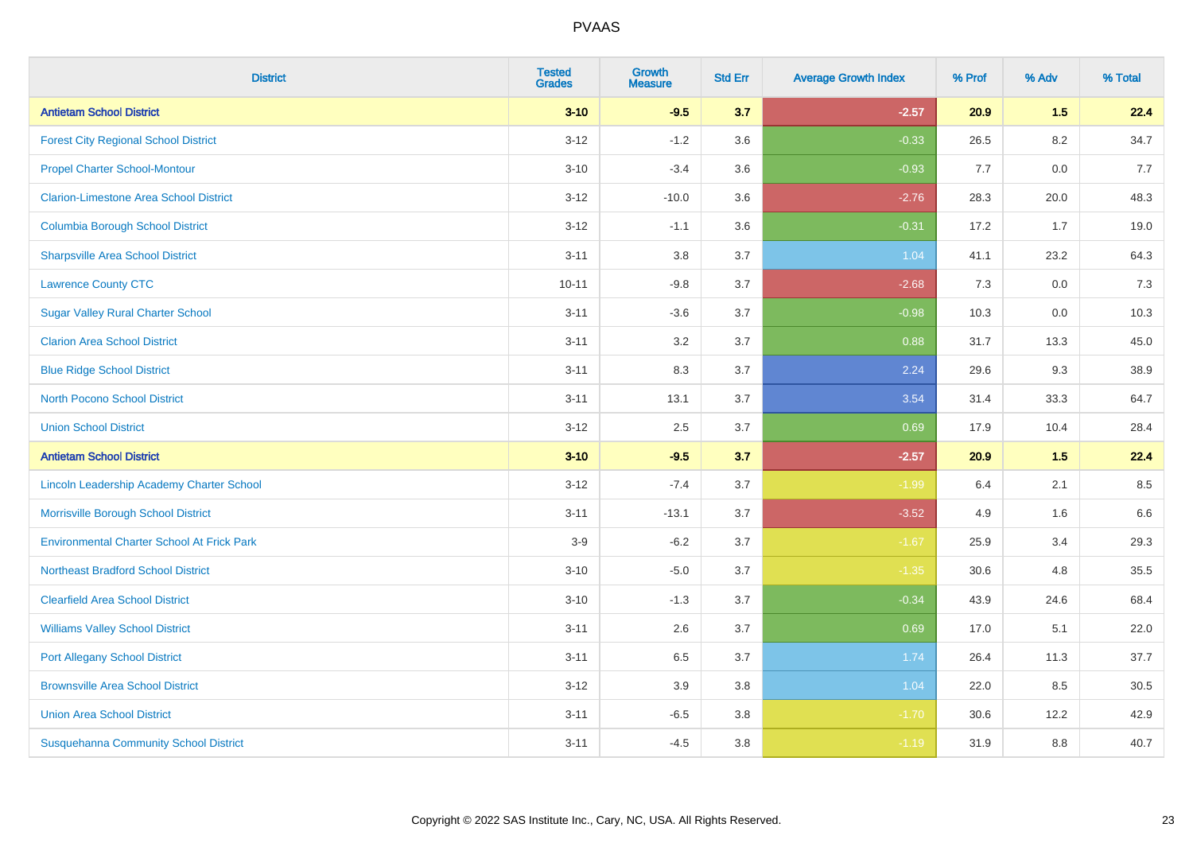| <b>District</b>                                   | <b>Tested</b><br><b>Grades</b> | <b>Growth</b><br><b>Measure</b> | <b>Std Err</b> | <b>Average Growth Index</b> | % Prof | % Adv   | % Total |
|---------------------------------------------------|--------------------------------|---------------------------------|----------------|-----------------------------|--------|---------|---------|
| <b>Antietam School District</b>                   | $3 - 10$                       | $-9.5$                          | 3.7            | $-2.57$                     | 20.9   | 1.5     | 22.4    |
| <b>Forest City Regional School District</b>       | $3 - 12$                       | $-1.2$                          | 3.6            | $-0.33$                     | 26.5   | $8.2\,$ | 34.7    |
| <b>Propel Charter School-Montour</b>              | $3 - 10$                       | $-3.4$                          | 3.6            | $-0.93$                     | 7.7    | 0.0     | 7.7     |
| <b>Clarion-Limestone Area School District</b>     | $3 - 12$                       | $-10.0$                         | 3.6            | $-2.76$                     | 28.3   | 20.0    | 48.3    |
| <b>Columbia Borough School District</b>           | $3 - 12$                       | $-1.1$                          | 3.6            | $-0.31$                     | 17.2   | 1.7     | 19.0    |
| <b>Sharpsville Area School District</b>           | $3 - 11$                       | 3.8                             | 3.7            | 1.04                        | 41.1   | 23.2    | 64.3    |
| <b>Lawrence County CTC</b>                        | $10 - 11$                      | $-9.8$                          | 3.7            | $-2.68$                     | 7.3    | 0.0     | 7.3     |
| <b>Sugar Valley Rural Charter School</b>          | $3 - 11$                       | $-3.6$                          | 3.7            | $-0.98$                     | 10.3   | 0.0     | 10.3    |
| <b>Clarion Area School District</b>               | $3 - 11$                       | 3.2                             | 3.7            | 0.88                        | 31.7   | 13.3    | 45.0    |
| <b>Blue Ridge School District</b>                 | $3 - 11$                       | 8.3                             | 3.7            | 2.24                        | 29.6   | 9.3     | 38.9    |
| <b>North Pocono School District</b>               | $3 - 11$                       | 13.1                            | 3.7            | 3.54                        | 31.4   | 33.3    | 64.7    |
| <b>Union School District</b>                      | $3 - 12$                       | 2.5                             | 3.7            | 0.69                        | 17.9   | 10.4    | 28.4    |
| <b>Antietam School District</b>                   | $3 - 10$                       | $-9.5$                          | 3.7            | $-2.57$                     | 20.9   | 1.5     | 22.4    |
| Lincoln Leadership Academy Charter School         | $3 - 12$                       | $-7.4$                          | 3.7            | $-1.99$                     | 6.4    | 2.1     | 8.5     |
| Morrisville Borough School District               | $3 - 11$                       | $-13.1$                         | 3.7            | $-3.52$                     | 4.9    | 1.6     | 6.6     |
| <b>Environmental Charter School At Frick Park</b> | $3-9$                          | $-6.2$                          | 3.7            | $-1.67$                     | 25.9   | 3.4     | 29.3    |
| <b>Northeast Bradford School District</b>         | $3 - 10$                       | $-5.0$                          | 3.7            | $-1.35$                     | 30.6   | 4.8     | 35.5    |
| <b>Clearfield Area School District</b>            | $3 - 10$                       | $-1.3$                          | 3.7            | $-0.34$                     | 43.9   | 24.6    | 68.4    |
| <b>Williams Valley School District</b>            | $3 - 11$                       | 2.6                             | 3.7            | 0.69                        | 17.0   | 5.1     | 22.0    |
| <b>Port Allegany School District</b>              | $3 - 11$                       | 6.5                             | 3.7            | 1.74                        | 26.4   | 11.3    | 37.7    |
| <b>Brownsville Area School District</b>           | $3 - 12$                       | 3.9                             | 3.8            | 1.04                        | 22.0   | 8.5     | 30.5    |
| <b>Union Area School District</b>                 | $3 - 11$                       | $-6.5$                          | 3.8            | $-1.70$                     | 30.6   | 12.2    | 42.9    |
| <b>Susquehanna Community School District</b>      | $3 - 11$                       | $-4.5$                          | 3.8            | $-1.19$                     | 31.9   | 8.8     | 40.7    |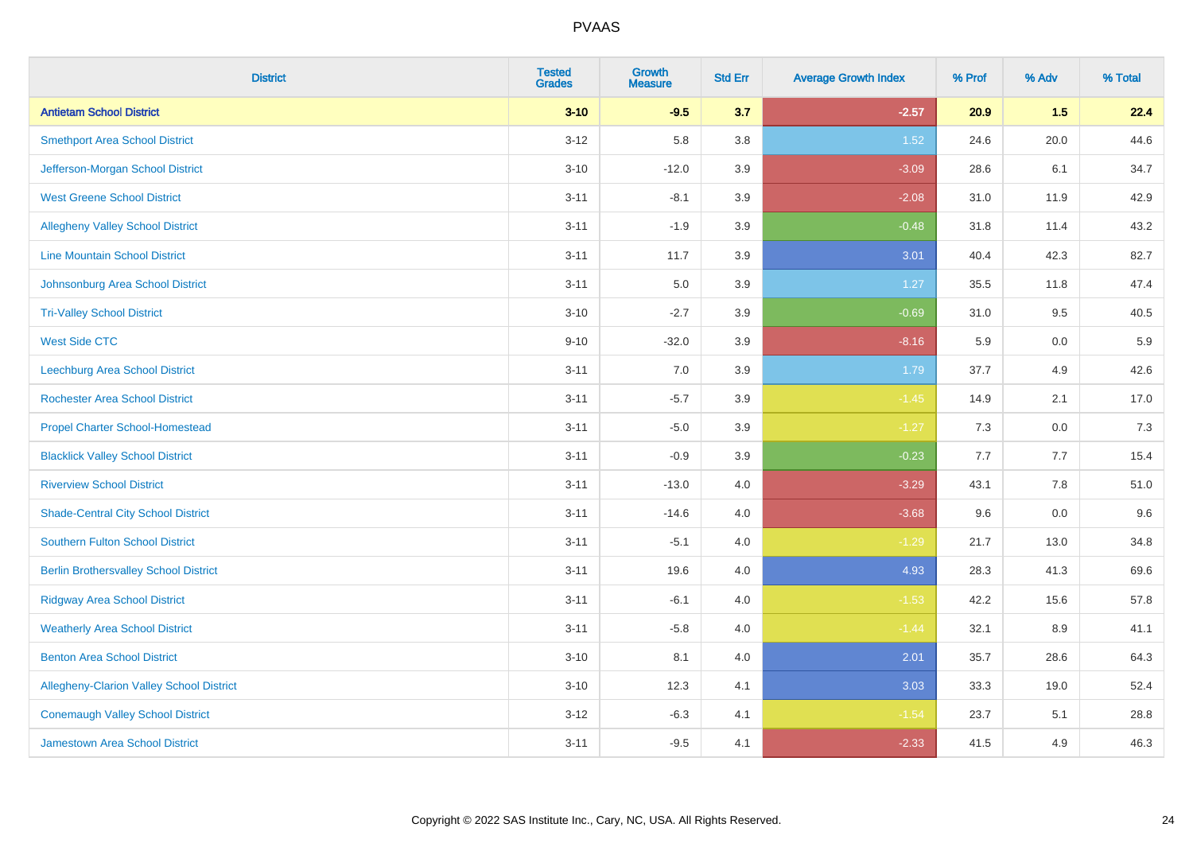| <b>District</b>                              | <b>Tested</b><br><b>Grades</b> | <b>Growth</b><br><b>Measure</b> | <b>Std Err</b> | <b>Average Growth Index</b> | % Prof | % Adv   | % Total |
|----------------------------------------------|--------------------------------|---------------------------------|----------------|-----------------------------|--------|---------|---------|
| <b>Antietam School District</b>              | $3 - 10$                       | $-9.5$                          | 3.7            | $-2.57$                     | 20.9   | 1.5     | 22.4    |
| <b>Smethport Area School District</b>        | $3 - 12$                       | 5.8                             | 3.8            | 1.52                        | 24.6   | 20.0    | 44.6    |
| Jefferson-Morgan School District             | $3 - 10$                       | $-12.0$                         | 3.9            | $-3.09$                     | 28.6   | 6.1     | 34.7    |
| <b>West Greene School District</b>           | $3 - 11$                       | $-8.1$                          | 3.9            | $-2.08$                     | 31.0   | 11.9    | 42.9    |
| <b>Allegheny Valley School District</b>      | $3 - 11$                       | $-1.9$                          | 3.9            | $-0.48$                     | 31.8   | 11.4    | 43.2    |
| <b>Line Mountain School District</b>         | $3 - 11$                       | 11.7                            | 3.9            | 3.01                        | 40.4   | 42.3    | 82.7    |
| Johnsonburg Area School District             | $3 - 11$                       | 5.0                             | 3.9            | 1.27                        | 35.5   | 11.8    | 47.4    |
| <b>Tri-Valley School District</b>            | $3 - 10$                       | $-2.7$                          | 3.9            | $-0.69$                     | 31.0   | 9.5     | 40.5    |
| <b>West Side CTC</b>                         | $9 - 10$                       | $-32.0$                         | 3.9            | $-8.16$                     | 5.9    | 0.0     | 5.9     |
| <b>Leechburg Area School District</b>        | $3 - 11$                       | 7.0                             | 3.9            | 1.79                        | 37.7   | 4.9     | 42.6    |
| <b>Rochester Area School District</b>        | $3 - 11$                       | $-5.7$                          | 3.9            | $-1.45$                     | 14.9   | 2.1     | 17.0    |
| <b>Propel Charter School-Homestead</b>       | $3 - 11$                       | $-5.0$                          | 3.9            | $-1.27$                     | 7.3    | 0.0     | 7.3     |
| <b>Blacklick Valley School District</b>      | $3 - 11$                       | $-0.9$                          | 3.9            | $-0.23$                     | 7.7    | 7.7     | 15.4    |
| <b>Riverview School District</b>             | $3 - 11$                       | $-13.0$                         | $4.0\,$        | $-3.29$                     | 43.1   | $7.8\,$ | 51.0    |
| <b>Shade-Central City School District</b>    | $3 - 11$                       | $-14.6$                         | 4.0            | $-3.68$                     | 9.6    | 0.0     | 9.6     |
| <b>Southern Fulton School District</b>       | $3 - 11$                       | $-5.1$                          | $4.0\,$        | $-1.29$                     | 21.7   | 13.0    | 34.8    |
| <b>Berlin Brothersvalley School District</b> | $3 - 11$                       | 19.6                            | 4.0            | 4.93                        | 28.3   | 41.3    | 69.6    |
| <b>Ridgway Area School District</b>          | $3 - 11$                       | $-6.1$                          | 4.0            | $-1.53$                     | 42.2   | 15.6    | 57.8    |
| <b>Weatherly Area School District</b>        | $3 - 11$                       | $-5.8$                          | $4.0\,$        | $-1.44$                     | 32.1   | $8.9\,$ | 41.1    |
| <b>Benton Area School District</b>           | $3 - 10$                       | 8.1                             | $4.0\,$        | 2.01                        | 35.7   | 28.6    | 64.3    |
| Allegheny-Clarion Valley School District     | $3 - 10$                       | 12.3                            | 4.1            | 3.03                        | 33.3   | 19.0    | 52.4    |
| <b>Conemaugh Valley School District</b>      | $3 - 12$                       | $-6.3$                          | 4.1            | $-1.54$                     | 23.7   | 5.1     | 28.8    |
| Jamestown Area School District               | $3 - 11$                       | $-9.5$                          | 4.1            | $-2.33$                     | 41.5   | 4.9     | 46.3    |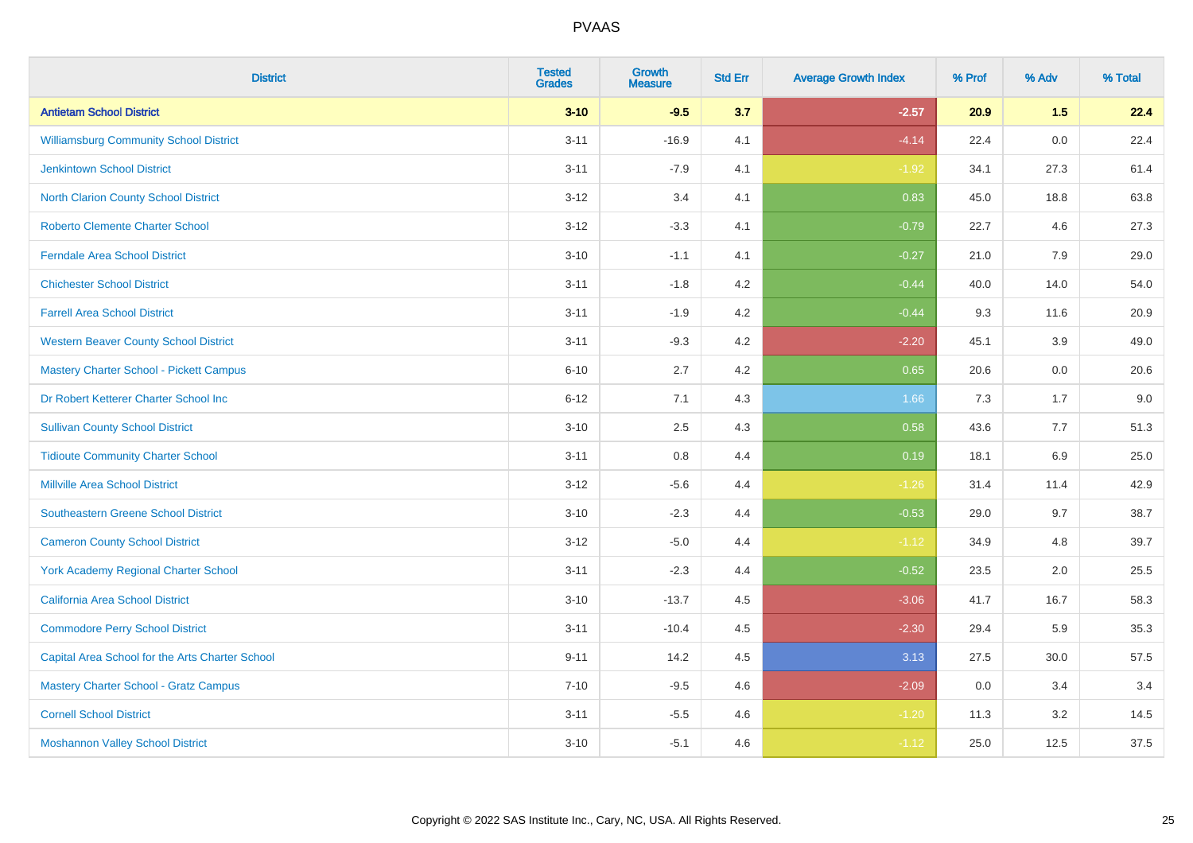| <b>District</b>                                 | <b>Tested</b><br><b>Grades</b> | <b>Growth</b><br><b>Measure</b> | <b>Std Err</b> | <b>Average Growth Index</b> | % Prof | % Adv   | % Total |
|-------------------------------------------------|--------------------------------|---------------------------------|----------------|-----------------------------|--------|---------|---------|
| <b>Antietam School District</b>                 | $3 - 10$                       | $-9.5$                          | 3.7            | $-2.57$                     | 20.9   | 1.5     | 22.4    |
| <b>Williamsburg Community School District</b>   | $3 - 11$                       | $-16.9$                         | 4.1            | $-4.14$                     | 22.4   | 0.0     | 22.4    |
| <b>Jenkintown School District</b>               | $3 - 11$                       | $-7.9$                          | 4.1            | $-1.92$                     | 34.1   | 27.3    | 61.4    |
| North Clarion County School District            | $3 - 12$                       | 3.4                             | 4.1            | 0.83                        | 45.0   | 18.8    | 63.8    |
| <b>Roberto Clemente Charter School</b>          | $3 - 12$                       | $-3.3$                          | 4.1            | $-0.79$                     | 22.7   | 4.6     | 27.3    |
| <b>Ferndale Area School District</b>            | $3 - 10$                       | $-1.1$                          | 4.1            | $-0.27$                     | 21.0   | 7.9     | 29.0    |
| <b>Chichester School District</b>               | $3 - 11$                       | $-1.8$                          | 4.2            | $-0.44$                     | 40.0   | 14.0    | 54.0    |
| <b>Farrell Area School District</b>             | $3 - 11$                       | $-1.9$                          | 4.2            | $-0.44$                     | 9.3    | 11.6    | 20.9    |
| <b>Western Beaver County School District</b>    | $3 - 11$                       | $-9.3$                          | 4.2            | $-2.20$                     | 45.1   | 3.9     | 49.0    |
| Mastery Charter School - Pickett Campus         | $6 - 10$                       | 2.7                             | 4.2            | 0.65                        | 20.6   | 0.0     | 20.6    |
| Dr Robert Ketterer Charter School Inc           | $6 - 12$                       | 7.1                             | 4.3            | 1.66                        | 7.3    | 1.7     | 9.0     |
| <b>Sullivan County School District</b>          | $3 - 10$                       | 2.5                             | 4.3            | 0.58                        | 43.6   | 7.7     | 51.3    |
| <b>Tidioute Community Charter School</b>        | $3 - 11$                       | 0.8                             | 4.4            | 0.19                        | 18.1   | $6.9\,$ | 25.0    |
| <b>Millville Area School District</b>           | $3 - 12$                       | $-5.6$                          | 4.4            | $-1.26$                     | 31.4   | 11.4    | 42.9    |
| <b>Southeastern Greene School District</b>      | $3 - 10$                       | $-2.3$                          | 4.4            | $-0.53$                     | 29.0   | 9.7     | 38.7    |
| <b>Cameron County School District</b>           | $3 - 12$                       | $-5.0$                          | 4.4            | $-1.12$                     | 34.9   | 4.8     | 39.7    |
| York Academy Regional Charter School            | $3 - 11$                       | $-2.3$                          | 4.4            | $-0.52$                     | 23.5   | 2.0     | 25.5    |
| California Area School District                 | $3 - 10$                       | $-13.7$                         | 4.5            | $-3.06$                     | 41.7   | 16.7    | 58.3    |
| <b>Commodore Perry School District</b>          | $3 - 11$                       | $-10.4$                         | 4.5            | $-2.30$                     | 29.4   | 5.9     | 35.3    |
| Capital Area School for the Arts Charter School | $9 - 11$                       | 14.2                            | 4.5            | 3.13                        | 27.5   | 30.0    | 57.5    |
| <b>Mastery Charter School - Gratz Campus</b>    | $7 - 10$                       | $-9.5$                          | 4.6            | $-2.09$                     | 0.0    | 3.4     | 3.4     |
| <b>Cornell School District</b>                  | $3 - 11$                       | $-5.5$                          | 4.6            | $-1.20$                     | 11.3   | 3.2     | 14.5    |
| <b>Moshannon Valley School District</b>         | $3 - 10$                       | $-5.1$                          | 4.6            | $-1.12$                     | 25.0   | 12.5    | 37.5    |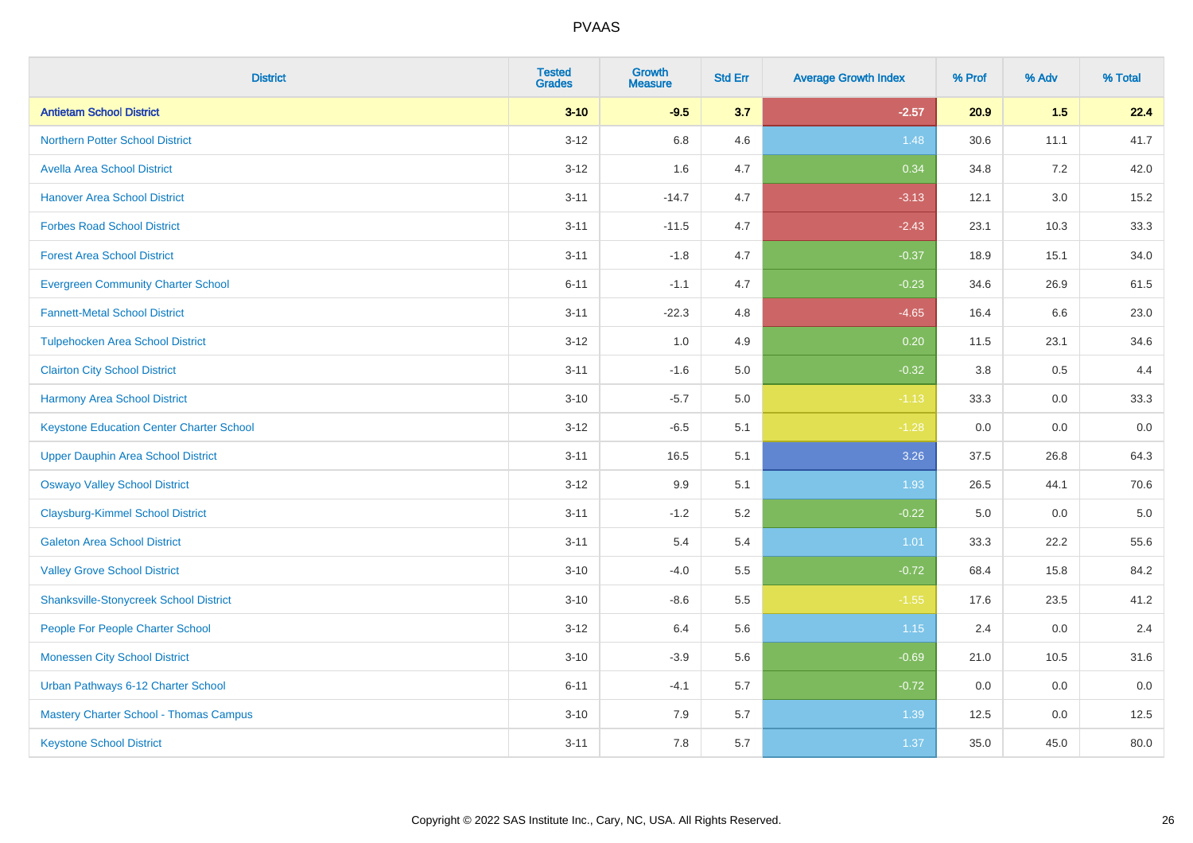| <b>District</b>                                 | <b>Tested</b><br><b>Grades</b> | <b>Growth</b><br><b>Measure</b> | <b>Std Err</b> | <b>Average Growth Index</b> | % Prof | % Adv   | % Total |
|-------------------------------------------------|--------------------------------|---------------------------------|----------------|-----------------------------|--------|---------|---------|
| <b>Antietam School District</b>                 | $3 - 10$                       | $-9.5$                          | 3.7            | $-2.57$                     | 20.9   | 1.5     | 22.4    |
| <b>Northern Potter School District</b>          | $3-12$                         | 6.8                             | 4.6            | 1.48                        | 30.6   | 11.1    | 41.7    |
| <b>Avella Area School District</b>              | $3 - 12$                       | 1.6                             | 4.7            | 0.34                        | 34.8   | 7.2     | 42.0    |
| <b>Hanover Area School District</b>             | $3 - 11$                       | $-14.7$                         | 4.7            | $-3.13$                     | 12.1   | $3.0\,$ | 15.2    |
| <b>Forbes Road School District</b>              | $3 - 11$                       | $-11.5$                         | 4.7            | $-2.43$                     | 23.1   | 10.3    | 33.3    |
| <b>Forest Area School District</b>              | $3 - 11$                       | $-1.8$                          | 4.7            | $-0.37$                     | 18.9   | 15.1    | 34.0    |
| <b>Evergreen Community Charter School</b>       | $6 - 11$                       | $-1.1$                          | 4.7            | $-0.23$                     | 34.6   | 26.9    | 61.5    |
| <b>Fannett-Metal School District</b>            | $3 - 11$                       | $-22.3$                         | 4.8            | $-4.65$                     | 16.4   | 6.6     | 23.0    |
| <b>Tulpehocken Area School District</b>         | $3 - 12$                       | 1.0                             | 4.9            | 0.20                        | 11.5   | 23.1    | 34.6    |
| <b>Clairton City School District</b>            | $3 - 11$                       | $-1.6$                          | 5.0            | $-0.32$                     | 3.8    | 0.5     | 4.4     |
| <b>Harmony Area School District</b>             | $3 - 10$                       | $-5.7$                          | 5.0            | $-1.13$                     | 33.3   | 0.0     | 33.3    |
| <b>Keystone Education Center Charter School</b> | $3 - 12$                       | $-6.5$                          | 5.1            | $-1.28$                     | 0.0    | 0.0     | 0.0     |
| <b>Upper Dauphin Area School District</b>       | $3 - 11$                       | 16.5                            | 5.1            | 3.26                        | 37.5   | 26.8    | 64.3    |
| <b>Oswayo Valley School District</b>            | $3 - 12$                       | 9.9                             | 5.1            | 1.93                        | 26.5   | 44.1    | 70.6    |
| <b>Claysburg-Kimmel School District</b>         | $3 - 11$                       | $-1.2$                          | 5.2            | $-0.22$                     | 5.0    | 0.0     | $5.0$   |
| <b>Galeton Area School District</b>             | $3 - 11$                       | 5.4                             | 5.4            | 1.01                        | 33.3   | 22.2    | 55.6    |
| <b>Valley Grove School District</b>             | $3 - 10$                       | $-4.0$                          | 5.5            | $-0.72$                     | 68.4   | 15.8    | 84.2    |
| <b>Shanksville-Stonycreek School District</b>   | $3 - 10$                       | $-8.6$                          | 5.5            | $-1.55$                     | 17.6   | 23.5    | 41.2    |
| People For People Charter School                | $3 - 12$                       | 6.4                             | 5.6            | 1.15                        | 2.4    | 0.0     | 2.4     |
| <b>Monessen City School District</b>            | $3 - 10$                       | $-3.9$                          | 5.6            | $-0.69$                     | 21.0   | 10.5    | 31.6    |
| Urban Pathways 6-12 Charter School              | $6 - 11$                       | $-4.1$                          | 5.7            | $-0.72$                     | 0.0    | 0.0     | 0.0     |
| Mastery Charter School - Thomas Campus          | $3 - 10$                       | 7.9                             | 5.7            | 1.39                        | 12.5   | 0.0     | 12.5    |
| <b>Keystone School District</b>                 | $3 - 11$                       | 7.8                             | 5.7            | 1.37                        | 35.0   | 45.0    | 80.0    |